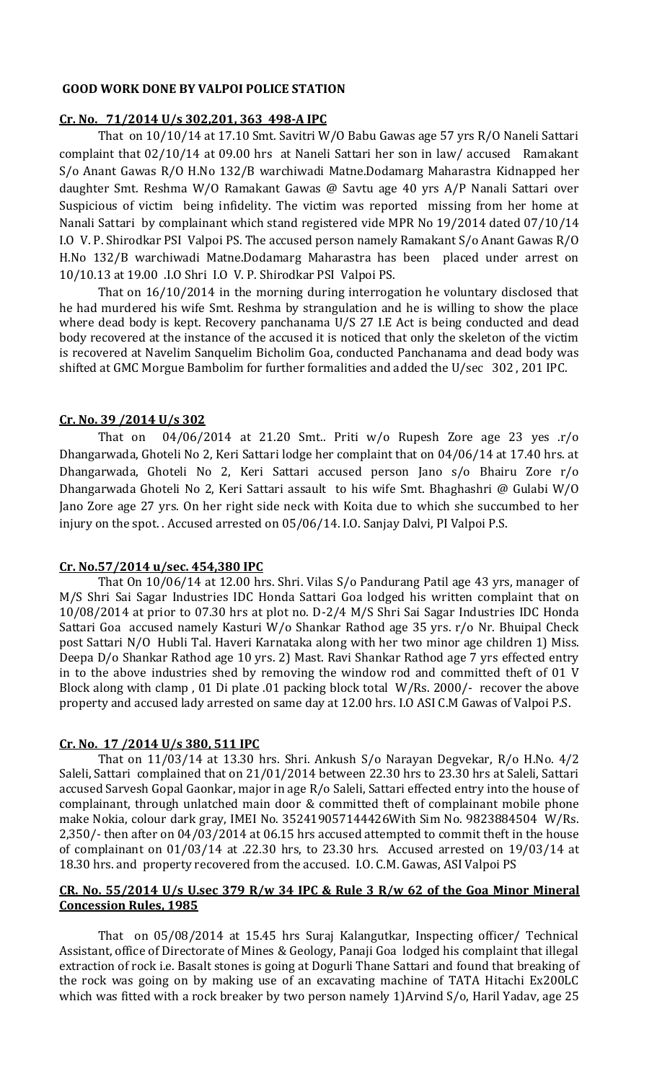#### **GOOD WORK DONE BY VALPOI POLICE STATION**

#### **Cr. No. 71/2014 U/s 302,201, 363 498-A IPC**

That on 10/10/14 at 17.10 Smt. Savitri W/O Babu Gawas age 57 yrs R/O Naneli Sattari complaint that 02/10/14 at 09.00 hrs at Naneli Sattari her son in law/ accused Ramakant S/o Anant Gawas R/O H.No 132/B warchiwadi Matne.Dodamarg Maharastra Kidnapped her daughter Smt. Reshma W/O Ramakant Gawas @ Savtu age 40 yrs A/P Nanali Sattari over Suspicious of victim being infidelity. The victim was reported missing from her home at Nanali Sattari by complainant which stand registered vide MPR No 19/2014 dated 07/10/14 I.O V. P. Shirodkar PSI Valpoi PS. The accused person namely Ramakant S/o Anant Gawas R/O H.No 132/B warchiwadi Matne.Dodamarg Maharastra has been placed under arrest on 10/10.13 at 19.00 .I.O Shri I.O V. P. Shirodkar PSI Valpoi PS.

That on 16/10/2014 in the morning during interrogation he voluntary disclosed that he had murdered his wife Smt. Reshma by strangulation and he is willing to show the place where dead body is kept. Recovery panchanama U/S 27 I.E Act is being conducted and dead body recovered at the instance of the accused it is noticed that only the skeleton of the victim is recovered at Navelim Sanquelim Bicholim Goa, conducted Panchanama and dead body was shifted at GMC Morgue Bambolim for further formalities and added the U/sec 302 , 201 IPC.

### **Cr. No. 39 /2014 U/s 302**

That on  $04/06/2014$  at 21.20 Smt.. Priti w/o Rupesh Zore age 23 yes  $r/o$ Dhangarwada, Ghoteli No 2, Keri Sattari lodge her complaint that on 04/06/14 at 17.40 hrs. at Dhangarwada, Ghoteli No 2, Keri Sattari accused person Jano s/o Bhairu Zore r/o Dhangarwada Ghoteli No 2, Keri Sattari assault to his wife Smt. Bhaghashri @ Gulabi W/O Jano Zore age 27 yrs. On her right side neck with Koita due to which she succumbed to her injury on the spot. . Accused arrested on 05/06/14. I.O. Sanjay Dalvi, PI Valpoi P.S.

#### **Cr. No.57/2014 u/sec. 454,380 IPC**

That On 10/06/14 at 12.00 hrs. Shri. Vilas S/o Pandurang Patil age 43 yrs, manager of M/S Shri Sai Sagar Industries IDC Honda Sattari Goa lodged his written complaint that on 10/08/2014 at prior to 07.30 hrs at plot no. D-2/4 M/S Shri Sai Sagar Industries IDC Honda Sattari Goa accused namely Kasturi W/o Shankar Rathod age 35 yrs. r/o Nr. Bhuipal Check post Sattari N/O Hubli Tal. Haveri Karnataka along with her two minor age children 1) Miss. Deepa D/o Shankar Rathod age 10 yrs. 2) Mast. Ravi Shankar Rathod age 7 yrs effected entry in to the above industries shed by removing the window rod and committed theft of 01 V Block along with clamp , 01 Di plate .01 packing block total W/Rs. 2000/- recover the above property and accused lady arrested on same day at 12.00 hrs. I.O ASI C.M Gawas of Valpoi P.S.

#### **Cr. No. 17 /2014 U/s 380, 511 IPC**

That on 11/03/14 at 13.30 hrs. Shri. Ankush S/o Narayan Degvekar, R/o H.No. 4/2 Saleli, Sattari complained that on 21/01/2014 between 22.30 hrs to 23.30 hrs at Saleli, Sattari accused Sarvesh Gopal Gaonkar, major in age R/o Saleli, Sattari effected entry into the house of complainant, through unlatched main door & committed theft of complainant mobile phone make Nokia, colour dark gray, IMEI No. 352419057144426With Sim No. 9823884504 W/Rs. 2,350/- then after on 04/03/2014 at 06.15 hrs accused attempted to commit theft in the house of complainant on 01/03/14 at .22.30 hrs, to 23.30 hrs. Accused arrested on 19/03/14 at 18.30 hrs. and property recovered from the accused. I.O. C.M. Gawas, ASI Valpoi PS

#### **CR. No. 55/2014 U/s U.sec 379 R/w 34 IPC & Rule 3 R/w 62 of the Goa Minor Mineral Concession Rules, 1985**

That on 05/08/2014 at 15.45 hrs Suraj Kalangutkar, Inspecting officer/ Technical Assistant, office of Directorate of Mines & Geology, Panaji Goa lodged his complaint that illegal extraction of rock i.e. Basalt stones is going at Dogurli Thane Sattari and found that breaking of the rock was going on by making use of an excavating machine of TATA Hitachi Ex200LC which was fitted with a rock breaker by two person namely 1)Arvind S/o, Haril Yadav, age 25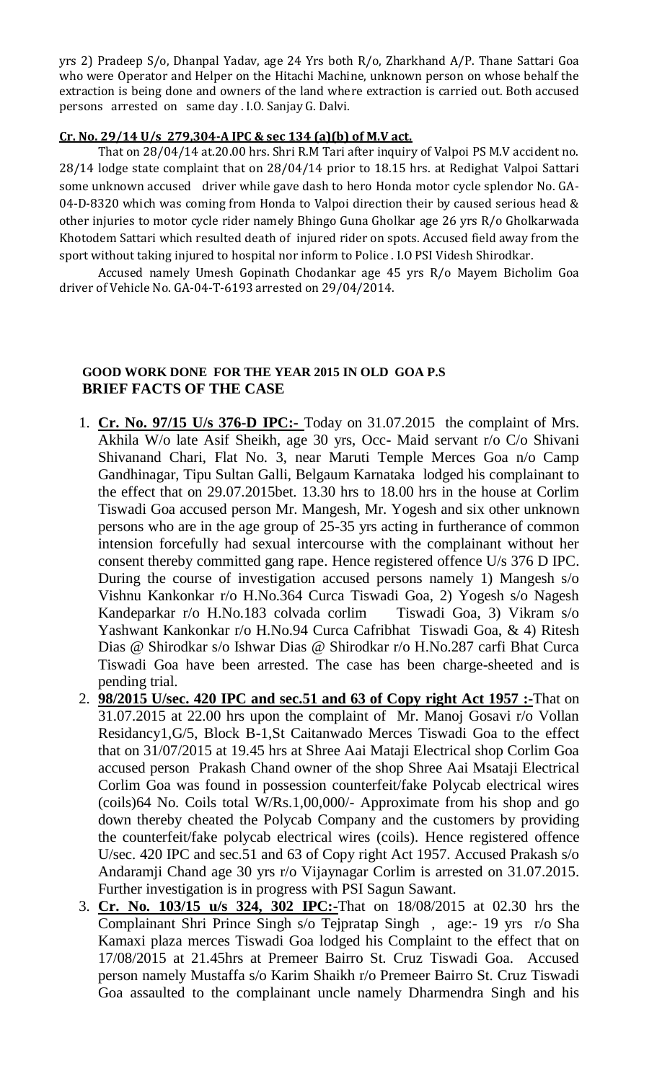yrs 2) Pradeep S/o, Dhanpal Yadav, age 24 Yrs both R/o, Zharkhand A/P. Thane Sattari Goa who were Operator and Helper on the Hitachi Machine, unknown person on whose behalf the extraction is being done and owners of the land where extraction is carried out. Both accused persons arrested on same day . I.O. Sanjay G. Dalvi.

### **Cr. No. 29/14 U/s 279,304-A IPC & sec 134 (a)(b) of M.V act.**

That on 28/04/14 at.20.00 hrs. Shri R.M Tari after inquiry of Valpoi PS M.V accident no. 28/14 lodge state complaint that on 28/04/14 prior to 18.15 hrs. at Redighat Valpoi Sattari some unknown accused driver while gave dash to hero Honda motor cycle splendor No. GA-04-D-8320 which was coming from Honda to Valpoi direction their by caused serious head & other injuries to motor cycle rider namely Bhingo Guna Gholkar age 26 yrs R/o Gholkarwada Khotodem Sattari which resulted death of injured rider on spots. Accused field away from the sport without taking injured to hospital nor inform to Police . I.O PSI Videsh Shirodkar.

Accused namely Umesh Gopinath Chodankar age 45 yrs R/o Mayem Bicholim Goa driver of Vehicle No. GA-04-T-6193 arrested on 29/04/2014.

### **GOOD WORK DONE FOR THE YEAR 2015 IN OLD GOA P.S BRIEF FACTS OF THE CASE**

- 1. **Cr. No. 97/15 U/s 376-D IPC:-** Today on 31.07.2015 the complaint of Mrs. Akhila W/o late Asif Sheikh, age 30 yrs, Occ- Maid servant r/o C/o Shivani Shivanand Chari, Flat No. 3, near Maruti Temple Merces Goa n/o Camp Gandhinagar, Tipu Sultan Galli, Belgaum Karnataka lodged his complainant to the effect that on 29.07.2015bet. 13.30 hrs to 18.00 hrs in the house at Corlim Tiswadi Goa accused person Mr. Mangesh, Mr. Yogesh and six other unknown persons who are in the age group of 25-35 yrs acting in furtherance of common intension forcefully had sexual intercourse with the complainant without her consent thereby committed gang rape. Hence registered offence U/s 376 D IPC. During the course of investigation accused persons namely 1) Mangesh s/o Vishnu Kankonkar r/o H.No.364 Curca Tiswadi Goa, 2) Yogesh s/o Nagesh Kandeparkar r/o H.No.183 colvada corlim Tiswadi Goa, 3) Vikram s/o Yashwant Kankonkar r/o H.No.94 Curca Cafribhat Tiswadi Goa, & 4) Ritesh Dias @ Shirodkar s/o Ishwar Dias @ Shirodkar r/o H.No.287 carfi Bhat Curca Tiswadi Goa have been arrested. The case has been charge-sheeted and is pending trial.
- 2. **98/2015 U/sec. 420 IPC and sec.51 and 63 of Copy right Act 1957 :-**That on 31.07.2015 at 22.00 hrs upon the complaint of Mr. Manoj Gosavi r/o Vollan Residancy1,G/5, Block B-1,St Caitanwado Merces Tiswadi Goa to the effect that on 31/07/2015 at 19.45 hrs at Shree Aai Mataji Electrical shop Corlim Goa accused person Prakash Chand owner of the shop Shree Aai Msataji Electrical Corlim Goa was found in possession counterfeit/fake Polycab electrical wires (coils)64 No. Coils total W/Rs.1,00,000/- Approximate from his shop and go down thereby cheated the Polycab Company and the customers by providing the counterfeit/fake polycab electrical wires (coils). Hence registered offence U/sec. 420 IPC and sec.51 and 63 of Copy right Act 1957. Accused Prakash s/o Andaramji Chand age 30 yrs r/o Vijaynagar Corlim is arrested on 31.07.2015. Further investigation is in progress with PSI Sagun Sawant.
- 3. **Cr. No. 103/15 u/s 324, 302 IPC:-**That on 18/08/2015 at 02.30 hrs the Complainant Shri Prince Singh s/o Tejpratap Singh , age:- 19 yrs r/o Sha Kamaxi plaza merces Tiswadi Goa lodged his Complaint to the effect that on 17/08/2015 at 21.45hrs at Premeer Bairro St. Cruz Tiswadi Goa. Accused person namely Mustaffa s/o Karim Shaikh r/o Premeer Bairro St. Cruz Tiswadi Goa assaulted to the complainant uncle namely Dharmendra Singh and his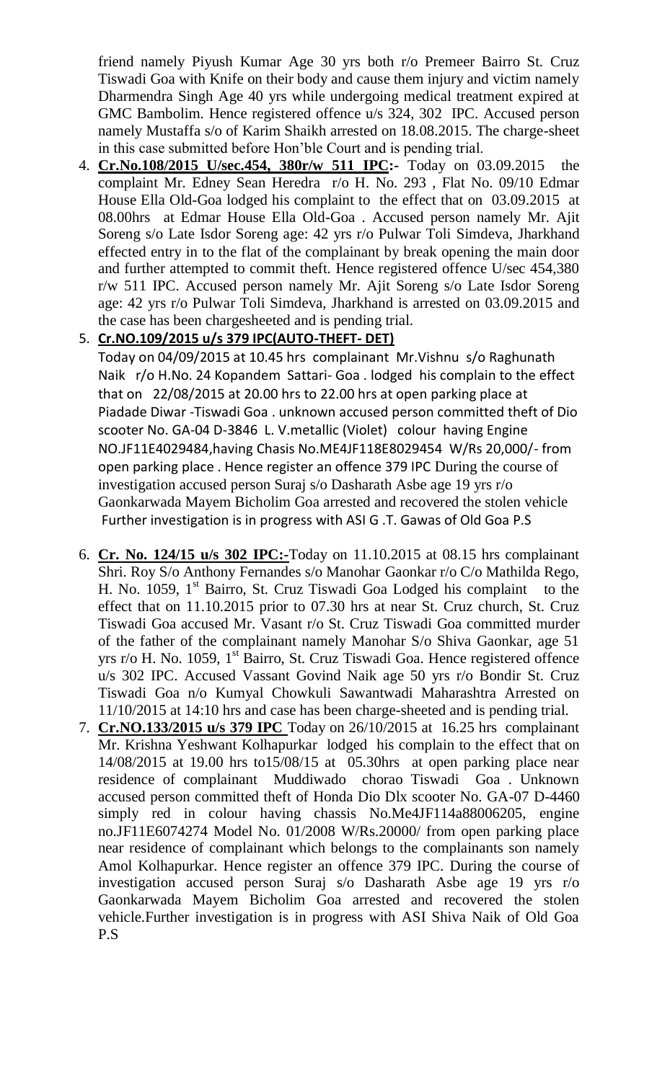friend namely Piyush Kumar Age 30 yrs both r/o Premeer Bairro St. Cruz Tiswadi Goa with Knife on their body and cause them injury and victim namely Dharmendra Singh Age 40 yrs while undergoing medical treatment expired at GMC Bambolim. Hence registered offence u/s 324, 302 IPC. Accused person namely Mustaffa s/o of Karim Shaikh arrested on 18.08.2015. The charge-sheet in this case submitted before Hon'ble Court and is pending trial.

- 4. **Cr.No.108/2015 U/sec.454, 380r/w 511 IPC:-** Today on 03.09.2015 the complaint Mr. Edney Sean Heredra r/o H. No. 293 , Flat No. 09/10 Edmar House Ella Old-Goa lodged his complaint to the effect that on 03.09.2015 at 08.00hrs at Edmar House Ella Old-Goa . Accused person namely Mr. Ajit Soreng s/o Late Isdor Soreng age: 42 yrs r/o Pulwar Toli Simdeva, Jharkhand effected entry in to the flat of the complainant by break opening the main door and further attempted to commit theft. Hence registered offence U/sec 454,380 r/w 511 IPC. Accused person namely Mr. Ajit Soreng s/o Late Isdor Soreng age: 42 yrs r/o Pulwar Toli Simdeva, Jharkhand is arrested on 03.09.2015 and the case has been chargesheeted and is pending trial.
- 5. **Cr.NO.109/2015 u/s 379 IPC(AUTO-THEFT- DET)**

Today on 04/09/2015 at 10.45 hrs complainant Mr.Vishnu s/o Raghunath Naik r/o H.No. 24 Kopandem Sattari- Goa . lodged his complain to the effect that on 22/08/2015 at 20.00 hrs to 22.00 hrs at open parking place at Piadade Diwar -Tiswadi Goa . unknown accused person committed theft of Dio scooter No. GA-04 D-3846 L. V.metallic (Violet) colour having Engine NO.JF11E4029484,having Chasis No.ME4JF118E8029454 W/Rs 20,000/- from open parking place . Hence register an offence 379 IPC During the course of investigation accused person Suraj s/o Dasharath Asbe age 19 yrs r/o Gaonkarwada Mayem Bicholim Goa arrested and recovered the stolen vehicle Further investigation is in progress with ASI G .T. Gawas of Old Goa P.S

- 6. **Cr. No. 124/15 u/s 302 IPC:-**Today on 11.10.2015 at 08.15 hrs complainant Shri. Roy S/o Anthony Fernandes s/o Manohar Gaonkar r/o C/o Mathilda Rego, H. No. 1059,  $1<sup>st</sup>$  Bairro, St. Cruz Tiswadi Goa Lodged his complaint to the effect that on 11.10.2015 prior to 07.30 hrs at near St. Cruz church, St. Cruz Tiswadi Goa accused Mr. Vasant r/o St. Cruz Tiswadi Goa committed murder of the father of the complainant namely Manohar S/o Shiva Gaonkar, age 51 yrs r/o H. No. 1059,  $1<sup>st</sup>$  Bairro, St. Cruz Tiswadi Goa. Hence registered offence u/s 302 IPC. Accused Vassant Govind Naik age 50 yrs r/o Bondir St. Cruz Tiswadi Goa n/o Kumyal Chowkuli Sawantwadi Maharashtra Arrested on 11/10/2015 at 14:10 hrs and case has been charge-sheeted and is pending trial.
- 7. **Cr.NO.133/2015 u/s 379 IPC** Today on 26/10/2015 at 16.25 hrs complainant Mr. Krishna Yeshwant Kolhapurkar lodged his complain to the effect that on 14/08/2015 at 19.00 hrs to15/08/15 at 05.30hrs at open parking place near residence of complainant Muddiwado chorao Tiswadi Goa . Unknown accused person committed theft of Honda Dio Dlx scooter No. GA-07 D-4460 simply red in colour having chassis No.Me4JF114a88006205, engine no.JF11E6074274 Model No. 01/2008 W/Rs.20000/ from open parking place near residence of complainant which belongs to the complainants son namely Amol Kolhapurkar. Hence register an offence 379 IPC. During the course of investigation accused person Suraj s/o Dasharath Asbe age 19 yrs r/o Gaonkarwada Mayem Bicholim Goa arrested and recovered the stolen vehicle.Further investigation is in progress with ASI Shiva Naik of Old Goa P.S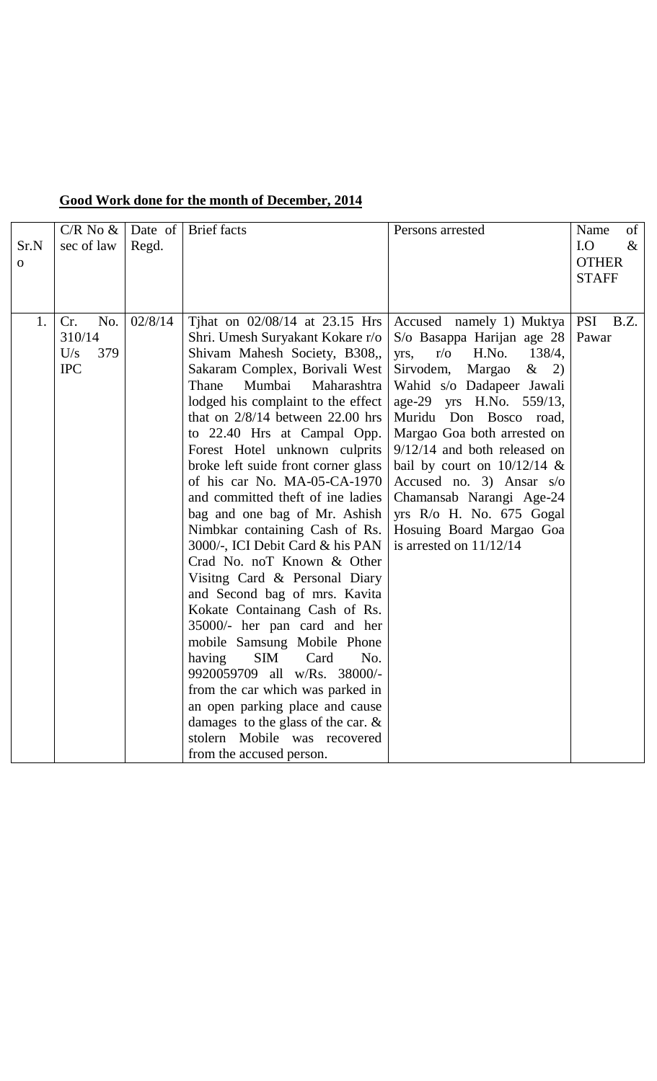|  |  |  | Good Work done for the month of December, 2014 |  |
|--|--|--|------------------------------------------------|--|
|  |  |  |                                                |  |

| Sr.N<br>$\mathbf{O}$ | $C/R$ No $\&$<br>sec of law                      | Date of<br>Regd. | <b>Brief</b> facts                                                                                                                                                                                                                                                                                                                                                                                                                                                                                                                                                                                                                                                                                                                                                                                                                                                                                                                                                                          | Persons arrested                                                                                                                                                                                                                                                                                                                                                                                                                                                              | of<br>Name<br>I.O<br>$\&$<br><b>OTHER</b><br><b>STAFF</b> |
|----------------------|--------------------------------------------------|------------------|---------------------------------------------------------------------------------------------------------------------------------------------------------------------------------------------------------------------------------------------------------------------------------------------------------------------------------------------------------------------------------------------------------------------------------------------------------------------------------------------------------------------------------------------------------------------------------------------------------------------------------------------------------------------------------------------------------------------------------------------------------------------------------------------------------------------------------------------------------------------------------------------------------------------------------------------------------------------------------------------|-------------------------------------------------------------------------------------------------------------------------------------------------------------------------------------------------------------------------------------------------------------------------------------------------------------------------------------------------------------------------------------------------------------------------------------------------------------------------------|-----------------------------------------------------------|
| 1.                   | Cr.<br>No.<br>310/14<br>U/s<br>379<br><b>IPC</b> | 02/8/14          | Tihat on $02/08/14$ at 23.15 Hrs<br>Shri. Umesh Suryakant Kokare r/o<br>Shivam Mahesh Society, B308,,<br>Sakaram Complex, Borivali West<br>Mumbai<br>Thane<br>Maharashtra<br>lodged his complaint to the effect<br>that on $2/8/14$ between 22.00 hrs<br>to 22.40 Hrs at Campal Opp.<br>Forest Hotel unknown culprits<br>broke left suide front corner glass<br>of his car No. MA-05-CA-1970<br>and committed theft of ine ladies<br>bag and one bag of Mr. Ashish<br>Nimbkar containing Cash of Rs.<br>3000/-, ICI Debit Card & his PAN<br>Crad No. noT Known & Other<br>Visitng Card & Personal Diary<br>and Second bag of mrs. Kavita<br>Kokate Containang Cash of Rs.<br>35000/- her pan card and her<br>mobile Samsung Mobile Phone<br><b>SIM</b><br>Card<br>No.<br>having<br>9920059709 all w/Rs. 38000/-<br>from the car which was parked in<br>an open parking place and cause<br>damages to the glass of the car. $\&$<br>stolern Mobile was recovered<br>from the accused person. | Accused namely 1) Muktya<br>S/o Basappa Harijan age 28<br>H.No.<br>138/4,<br>$r/\sigma$<br>yrs,<br>$\&$ 2)<br>Sirvodem,<br>Margao<br>Wahid s/o Dadapeer Jawali<br>age-29 yrs H.No. 559/13,<br>Muridu Don Bosco road,<br>Margao Goa both arrested on<br>$9/12/14$ and both released on<br>bail by court on $10/12/14$ &<br>Accused no. 3) Ansar $s/\sigma$<br>Chamansab Narangi Age-24<br>yrs $R$ /o H. No. 675 Gogal<br>Hosuing Board Margao Goa<br>is arrested on $11/12/14$ | <b>PSI</b><br>B.Z.<br>Pawar                               |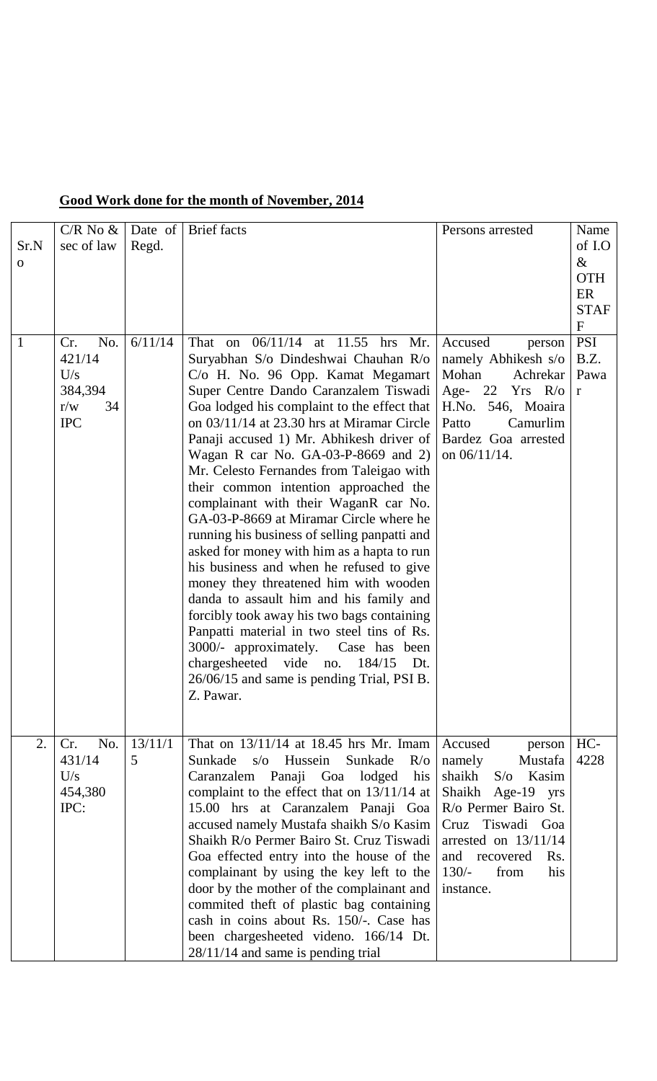|  | Good Work done for the month of November, 2014 |  |  |  |
|--|------------------------------------------------|--|--|--|
|  |                                                |  |  |  |

|                      | $C/R$ No $\&$                                                     | Date of      | <b>Brief</b> facts                                                                                                                                                                                                                                                                                                                                                                                                                                                                                                                                                                                                                                                                                                                                                                                                                                                                                                                                                                                  | Persons arrested                                                                                                                                                                                                                  | Name                                                             |
|----------------------|-------------------------------------------------------------------|--------------|-----------------------------------------------------------------------------------------------------------------------------------------------------------------------------------------------------------------------------------------------------------------------------------------------------------------------------------------------------------------------------------------------------------------------------------------------------------------------------------------------------------------------------------------------------------------------------------------------------------------------------------------------------------------------------------------------------------------------------------------------------------------------------------------------------------------------------------------------------------------------------------------------------------------------------------------------------------------------------------------------------|-----------------------------------------------------------------------------------------------------------------------------------------------------------------------------------------------------------------------------------|------------------------------------------------------------------|
| Sr.N<br>$\mathbf{O}$ | sec of law                                                        | Regd.        |                                                                                                                                                                                                                                                                                                                                                                                                                                                                                                                                                                                                                                                                                                                                                                                                                                                                                                                                                                                                     |                                                                                                                                                                                                                                   | of I.O<br>$\&$<br><b>OTH</b><br>ER<br><b>STAF</b><br>$\mathbf F$ |
| $\overline{1}$       | No.<br>Cr.<br>421/14<br>U/s<br>384,394<br>r/w<br>34<br><b>IPC</b> | 6/11/14      | 06/11/14 at 11.55 hrs<br>That<br>Mr.<br>on<br>Suryabhan S/o Dindeshwai Chauhan R/o<br>C/o H. No. 96 Opp. Kamat Megamart<br>Super Centre Dando Caranzalem Tiswadi<br>Goa lodged his complaint to the effect that<br>on 03/11/14 at 23.30 hrs at Miramar Circle<br>Panaji accused 1) Mr. Abhikesh driver of<br>Wagan R car No. GA-03-P-8669 and 2)<br>Mr. Celesto Fernandes from Taleigao with<br>their common intention approached the<br>complainant with their WaganR car No.<br>GA-03-P-8669 at Miramar Circle where he<br>running his business of selling panpatti and<br>asked for money with him as a hapta to run<br>his business and when he refused to give<br>money they threatened him with wooden<br>danda to assault him and his family and<br>forcibly took away his two bags containing<br>Panpatti material in two steel tins of Rs.<br>3000/- approximately. Case has been<br>chargesheeted vide<br>184/15<br>no.<br>Dt.<br>26/06/15 and same is pending Trial, PSI B.<br>Z. Pawar. | Accused<br>person<br>namely Abhikesh s/o<br>Mohan<br>Achrekar<br>Age- 22 $Yrs$ R/o<br>H.No. 546, Moaira<br>Patto<br>Camurlim<br>Bardez Goa arrested<br>on 06/11/14.                                                               | <b>PSI</b><br>B.Z.<br>Pawa<br>$\mathbf r$                        |
| 2.                   | No.<br>Cr.<br>431/14<br>U/s<br>454,380<br>IPC:                    | 13/11/1<br>5 | That on 13/11/14 at 18.45 hrs Mr. Imam<br>$s$ /o Hussein<br>Sunkade<br>Sunkade<br>$R/\sigma$<br>Caranzalem Panaji Goa lodged his<br>complaint to the effect that on 13/11/14 at<br>15.00 hrs at Caranzalem Panaji Goa<br>accused namely Mustafa shaikh S/o Kasim<br>Shaikh R/o Permer Bairo St. Cruz Tiswadi<br>Goa effected entry into the house of the<br>complainant by using the key left to the<br>door by the mother of the complainant and<br>commited theft of plastic bag containing<br>cash in coins about Rs. 150/-. Case has<br>been chargesheeted videno. 166/14 Dt.<br>$28/11/14$ and same is pending trial                                                                                                                                                                                                                                                                                                                                                                           | Accused<br>person<br>Mustafa<br>namely<br>shaikh<br>$S/\sigma$<br>Kasim<br>Shaikh Age-19 yrs<br>R/o Permer Bairo St.<br>Cruz Tiswadi Goa<br>arrested on $13/11/14$<br>and recovered<br>Rs.<br>$130/-$<br>from<br>his<br>instance. | HC-<br>4228                                                      |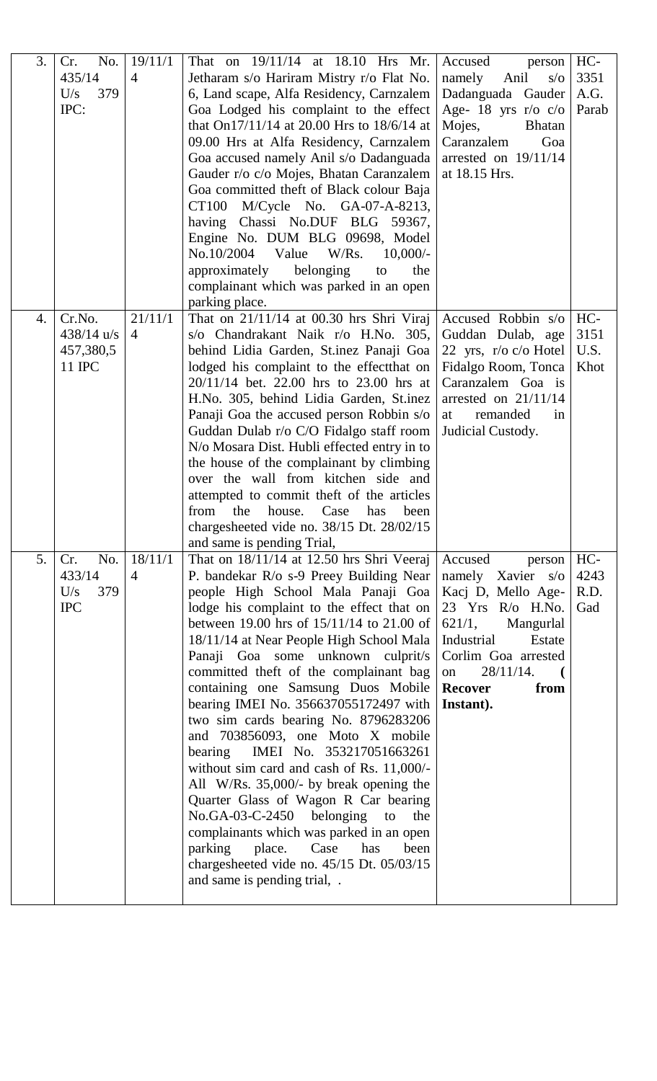| 3. | No.<br>Cr.   | 19/11/1        | That on 19/11/14 at 18.10 Hrs Mr.             | Accused<br>person       | HC-   |
|----|--------------|----------------|-----------------------------------------------|-------------------------|-------|
|    | 435/14       | $\overline{4}$ | Jetharam s/o Hariram Mistry r/o Flat No.      | Anil<br>namely<br>S/O   | 3351  |
|    | U/s<br>379   |                | 6, Land scape, Alfa Residency, Carnzalem      | Dadanguada Gauder       | A.G.  |
|    | IPC:         |                | Goa Lodged his complaint to the effect        | Age- 18 yrs $r/o$ $c/o$ | Parab |
|    |              |                | that On17/11/14 at 20.00 Hrs to 18/6/14 at    | Mojes,<br><b>Bhatan</b> |       |
|    |              |                | 09.00 Hrs at Alfa Residency, Carnzalem        | Caranzalem<br>Goa       |       |
|    |              |                | Goa accused namely Anil s/o Dadanguada        | arrested on $19/11/14$  |       |
|    |              |                | Gauder r/o c/o Mojes, Bhatan Caranzalem       | at 18.15 Hrs.           |       |
|    |              |                | Goa committed theft of Black colour Baja      |                         |       |
|    |              |                | M/Cycle No. GA-07-A-8213,<br>CT100            |                         |       |
|    |              |                | having Chassi No.DUF BLG 59367,               |                         |       |
|    |              |                | Engine No. DUM BLG 09698, Model               |                         |       |
|    |              |                | No.10/2004<br>Value<br>$W/Rs$ .<br>$10,000/-$ |                         |       |
|    |              |                | approximately<br>belonging<br>the<br>to       |                         |       |
|    |              |                | complainant which was parked in an open       |                         |       |
|    |              |                | parking place.                                |                         |       |
| 4. | Cr.No.       | 21/11/1        | That on $21/11/14$ at 00.30 hrs Shri Viraj    | Accused Robbin s/o      | HC-   |
|    | $438/14$ u/s | $\overline{4}$ | s/o Chandrakant Naik r/o H.No. 305,           | Guddan Dulab, age       | 3151  |
|    | 457,380,5    |                | behind Lidia Garden, St.inez Panaji Goa       | 22 yrs, $r/o$ c/o Hotel | U.S.  |
|    | 11 IPC       |                | lodged his complaint to the effect that on    | Fidalgo Room, Tonca     | Khot  |
|    |              |                | 20/11/14 bet. 22.00 hrs to 23.00 hrs at       | Caranzalem Goa is       |       |
|    |              |                | H.No. 305, behind Lidia Garden, St.inez       | arrested on $21/11/14$  |       |
|    |              |                | Panaji Goa the accused person Robbin s/o      | remanded<br>at<br>in    |       |
|    |              |                | Guddan Dulab r/o C/O Fidalgo staff room       | Judicial Custody.       |       |
|    |              |                | N/o Mosara Dist. Hubli effected entry in to   |                         |       |
|    |              |                | the house of the complainant by climbing      |                         |       |
|    |              |                | over the wall from kitchen side and           |                         |       |
|    |              |                | attempted to commit theft of the articles     |                         |       |
|    |              |                | Case<br>from<br>the<br>house.<br>has<br>been  |                         |       |
|    |              |                | chargesheeted vide no. 38/15 Dt. 28/02/15     |                         |       |
|    |              |                | and same is pending Trial,                    |                         |       |
| 5. | No.<br>Cr.   | 18/11/1        | That on $18/11/14$ at 12.50 hrs Shri Veeraj   | Accused<br>person       | $HC-$ |
|    | 433/14       | $\overline{4}$ | P. bandekar R/o s-9 Preey Building Near       | namely Xavier s/o       | 4243  |
|    | U/s<br>379   |                | people High School Mala Panaji Goa            | Kacj D, Mello Age-      | R.D.  |
|    | <b>IPC</b>   |                | lodge his complaint to the effect that on     | 23 Yrs R/o H.No.        | Gad   |
|    |              |                | between 19.00 hrs of 15/11/14 to 21.00 of     | 621/1,<br>Mangurlal     |       |
|    |              |                | 18/11/14 at Near People High School Mala      | Industrial<br>Estate    |       |
|    |              |                | Panaji Goa some unknown culprit/s             | Corlim Goa arrested     |       |
|    |              |                | committed theft of the complainant bag        | on<br>28/11/14.         |       |
|    |              |                | containing one Samsung Duos Mobile            | <b>Recover</b><br>from  |       |
|    |              |                | bearing IMEI No. 356637055172497 with         | Instant).               |       |
|    |              |                | two sim cards bearing No. 8796283206          |                         |       |
|    |              |                | and 703856093, one Moto X mobile              |                         |       |
|    |              |                | bearing<br>IMEI No. 353217051663261           |                         |       |
|    |              |                | without sim card and cash of Rs. 11,000/-     |                         |       |
|    |              |                | All W/Rs. 35,000/- by break opening the       |                         |       |
|    |              |                | Quarter Glass of Wagon R Car bearing          |                         |       |
|    |              |                | No.GA-03-C-2450<br>belonging<br>the<br>to     |                         |       |
|    |              |                | complainants which was parked in an open      |                         |       |
|    |              |                | parking<br>place.<br>Case<br>has<br>been      |                         |       |
|    |              |                | chargesheeted vide no. 45/15 Dt. 05/03/15     |                         |       |
|    |              |                | and same is pending trial,.                   |                         |       |
|    |              |                |                                               |                         |       |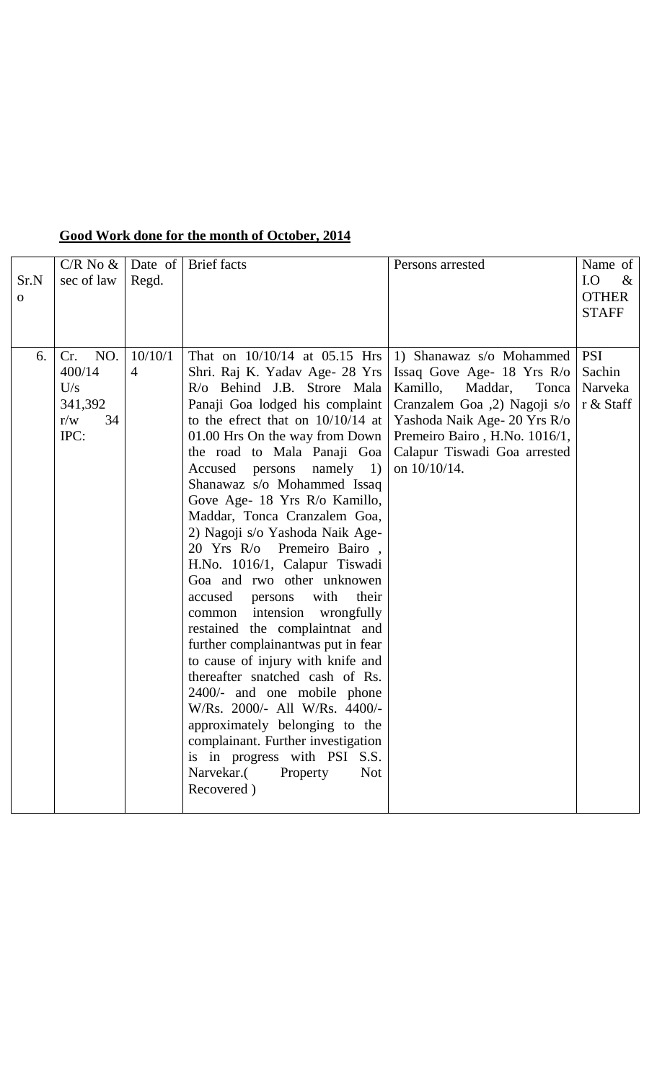| Sr.N<br>$\mathbf{O}$ | $C/R$ No $\&$<br>sec of law                                 | Regd.                     | Date of Brief facts                                                                                                                                                                                                                                                                                                                                                                                                                                                                                                                                                                                                                                                                                                                                                                                                                                                                                                                                                     | Persons arrested                                                                                                                                                                                                                        | Name of<br>I.O<br>$\&$<br><b>OTHER</b><br><b>STAFF</b> |
|----------------------|-------------------------------------------------------------|---------------------------|-------------------------------------------------------------------------------------------------------------------------------------------------------------------------------------------------------------------------------------------------------------------------------------------------------------------------------------------------------------------------------------------------------------------------------------------------------------------------------------------------------------------------------------------------------------------------------------------------------------------------------------------------------------------------------------------------------------------------------------------------------------------------------------------------------------------------------------------------------------------------------------------------------------------------------------------------------------------------|-----------------------------------------------------------------------------------------------------------------------------------------------------------------------------------------------------------------------------------------|--------------------------------------------------------|
| 6.                   | NO.<br>Cr.<br>400/14<br>U/s<br>341,392<br>r/w<br>34<br>IPC: | 10/10/1<br>$\overline{4}$ | That on 10/10/14 at 05.15 Hrs<br>Shri. Raj K. Yadav Age- 28 Yrs<br>R/o Behind J.B. Strore Mala<br>Panaji Goa lodged his complaint<br>to the efrect that on $10/10/14$ at<br>01.00 Hrs On the way from Down<br>the road to Mala Panaji Goa<br>Accused<br>persons<br>$namely$ 1)<br>Shanawaz s/o Mohammed Issaq<br>Gove Age- 18 Yrs R/o Kamillo,<br>Maddar, Tonca Cranzalem Goa,<br>2) Nagoji s/o Yashoda Naik Age-<br>20 Yrs R/o Premeiro Bairo,<br>H.No. 1016/1, Calapur Tiswadi<br>Goa and rwo other unknowen<br>with<br>their<br>accused<br>persons<br>intension<br>wrongfully<br>common<br>restained the complaintnat and<br>further complainantwas put in fear<br>to cause of injury with knife and<br>thereafter snatched cash of Rs.<br>2400/- and one mobile phone<br>W/Rs. 2000/- All W/Rs. 4400/-<br>approximately belonging to the<br>complainant. Further investigation<br>is in progress with PSI S.S.<br>Narvekar.<br>Property<br><b>Not</b><br>Recovered) | 1) Shanawaz s/o Mohammed<br>Issaq Gove Age- 18 Yrs R/o<br>Kamillo,<br>Maddar,<br>Tonca<br>Cranzalem Goa ,2) Nagoji s/o<br>Yashoda Naik Age- 20 Yrs R/o<br>Premeiro Bairo, H.No. 1016/1,<br>Calapur Tiswadi Goa arrested<br>on 10/10/14. | <b>PSI</b><br>Sachin<br>Narveka<br>r & Staff           |

### **Good Work done for the month of October, 2014**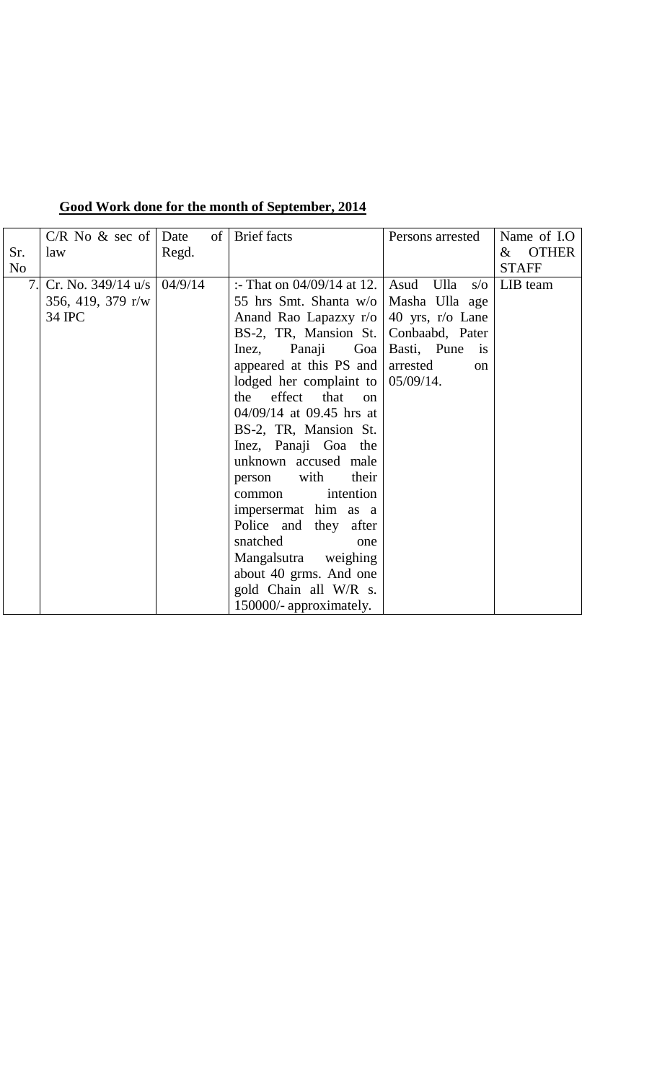|                | $C/R$ No & sec of Date         |       | of | <b>Brief</b> facts               | Persons arrested             | Name of I.O          |
|----------------|--------------------------------|-------|----|----------------------------------|------------------------------|----------------------|
| Sr.            | law                            | Regd. |    |                                  |                              | <b>OTHER</b><br>$\&$ |
| N <sub>o</sub> |                                |       |    |                                  |                              | <b>STAFF</b>         |
| 7.             | Cr. No. $349/14$ u/s   04/9/14 |       |    | :- That on $04/09/14$ at 12.     | Asud Ulla<br>$s/\sigma$      | LIB team             |
|                | 356, 419, 379 r/w              |       |    | 55 hrs Smt. Shanta w/o           | Masha Ulla age               |                      |
|                | 34 IPC                         |       |    | Anand Rao Lapazxy r/o            | 40 yrs, $r/o$ Lane           |                      |
|                |                                |       |    | BS-2, TR, Mansion St.            | Conbaabd, Pater              |                      |
|                |                                |       |    | Panaji<br>Goa<br>Inez,           | Basti, Pune<br>$\frac{1}{1}$ |                      |
|                |                                |       |    | appeared at this PS and          | arrested<br>on               |                      |
|                |                                |       |    | lodged her complaint to          | $05/09/14$ .                 |                      |
|                |                                |       |    | the effect that<br><sub>on</sub> |                              |                      |
|                |                                |       |    | $04/09/14$ at 09.45 hrs at       |                              |                      |
|                |                                |       |    | BS-2, TR, Mansion St.            |                              |                      |
|                |                                |       |    | Inez, Panaji Goa the             |                              |                      |
|                |                                |       |    | unknown accused male             |                              |                      |
|                |                                |       |    | their<br>with<br>person          |                              |                      |
|                |                                |       |    | intention<br>common              |                              |                      |
|                |                                |       |    | impersermat him as a             |                              |                      |
|                |                                |       |    | Police and they after            |                              |                      |
|                |                                |       |    | snatched<br>one                  |                              |                      |
|                |                                |       |    | Mangalsutra weighing             |                              |                      |
|                |                                |       |    | about 40 grms. And one           |                              |                      |
|                |                                |       |    | gold Chain all W/R s.            |                              |                      |
|                |                                |       |    | 150000/- approximately.          |                              |                      |

### **Good Work done for the month of September, 2014**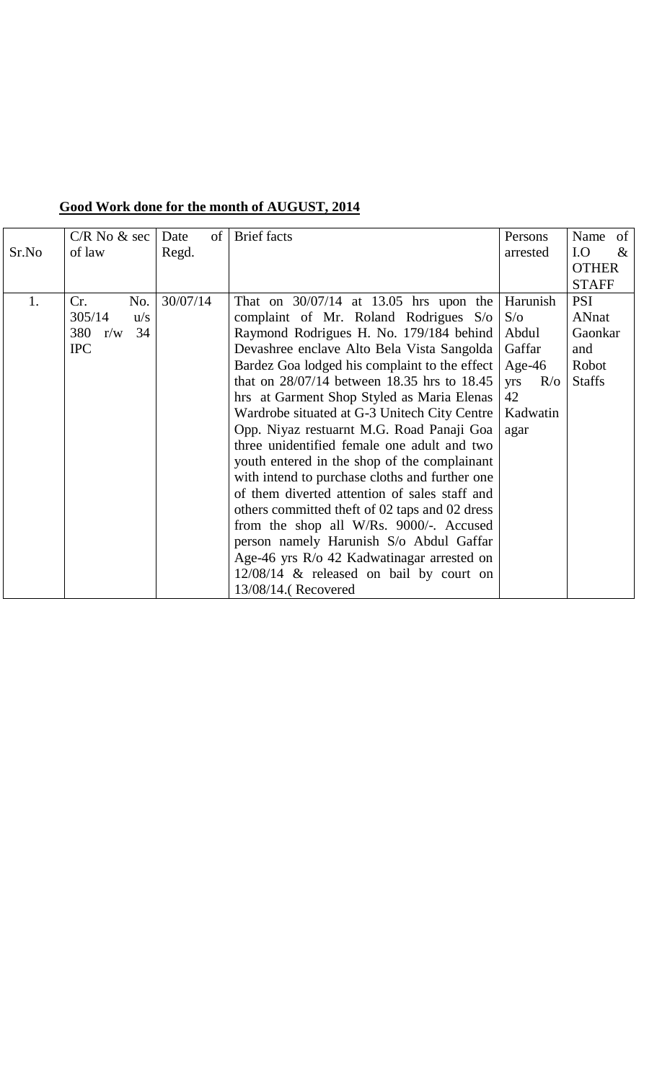|       | $C/R$ No $\&$ sec | of <sub>1</sub><br>Date | <b>Brief</b> facts                             | Persons                 | Name of       |
|-------|-------------------|-------------------------|------------------------------------------------|-------------------------|---------------|
| Sr.No | of law            | Regd.                   |                                                | arrested                | I.O<br>$\&$   |
|       |                   |                         |                                                |                         | <b>OTHER</b>  |
|       |                   |                         |                                                |                         | <b>STAFF</b>  |
| 1.    | No.<br>Cr.        | 30/07/14                | That on $30/07/14$ at 13.05 hrs upon the       | Harunish                | <b>PSI</b>    |
|       | 305/14<br>u/s     |                         | complaint of Mr. Roland Rodrigues S/o          | S/O                     | ANnat         |
|       | 380<br>34<br>r/w  |                         | Raymond Rodrigues H. No. 179/184 behind        | Abdul                   | Gaonkar       |
|       | <b>IPC</b>        |                         | Devashree enclave Alto Bela Vista Sangolda     | Gaffar                  | and           |
|       |                   |                         | Bardez Goa lodged his complaint to the effect  | Age- $46$               | Robot         |
|       |                   |                         | that on 28/07/14 between 18.35 hrs to 18.45    | $R$ <sub>o</sub><br>yrs | <b>Staffs</b> |
|       |                   |                         | hrs at Garment Shop Styled as Maria Elenas     | 42                      |               |
|       |                   |                         | Wardrobe situated at G-3 Unitech City Centre   | Kadwatin                |               |
|       |                   |                         | Opp. Niyaz restuarnt M.G. Road Panaji Goa      | agar                    |               |
|       |                   |                         | three unidentified female one adult and two    |                         |               |
|       |                   |                         | youth entered in the shop of the complainant   |                         |               |
|       |                   |                         | with intend to purchase cloths and further one |                         |               |
|       |                   |                         | of them diverted attention of sales staff and  |                         |               |
|       |                   |                         | others committed theft of 02 taps and 02 dress |                         |               |
|       |                   |                         | from the shop all W/Rs. 9000/-. Accused        |                         |               |
|       |                   |                         | person namely Harunish S/o Abdul Gaffar        |                         |               |
|       |                   |                         | Age-46 yrs R/o 42 Kadwatinagar arrested on     |                         |               |
|       |                   |                         | $12/08/14$ & released on bail by court on      |                         |               |
|       |                   |                         | 13/08/14.(Recovered                            |                         |               |

### **Good Work done for the month of AUGUST, 2014**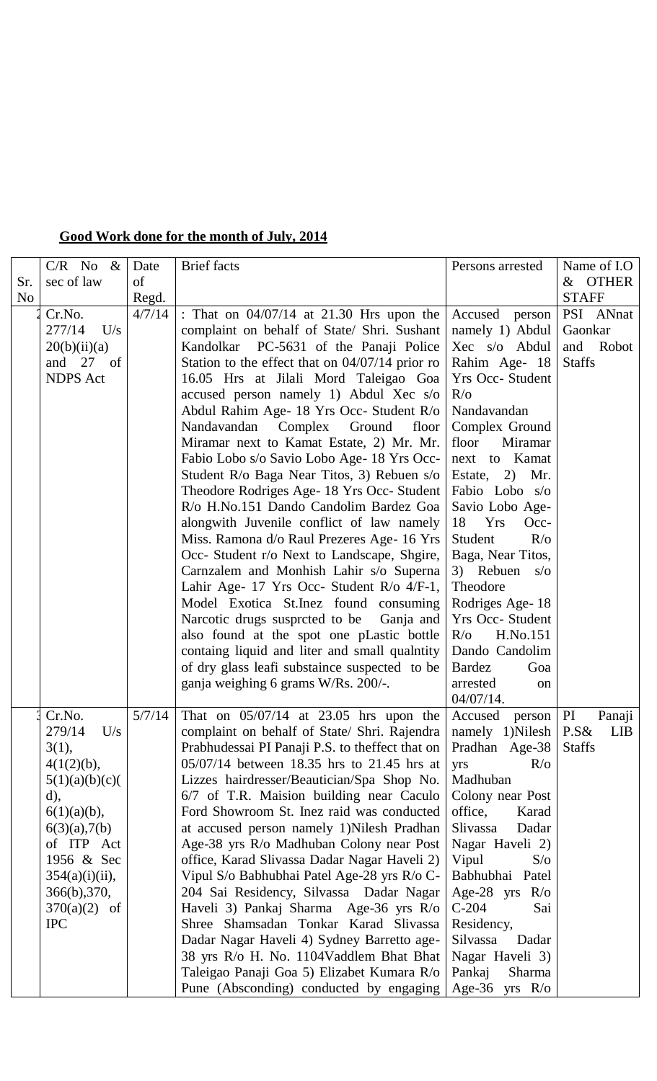### **Good Work done for the month of July, 2014**

|     | $C/R$ No &        | Date   | <b>Brief</b> facts                                                                 | Persons arrested              | Name of I.O   |
|-----|-------------------|--------|------------------------------------------------------------------------------------|-------------------------------|---------------|
| Sr. | sec of law        | of     |                                                                                    |                               | & OTHER       |
| No  |                   | Regd.  |                                                                                    |                               | <b>STAFF</b>  |
|     | Cr.No.            | 4/7/14 | : That on $04/07/14$ at 21.30 Hrs upon the                                         | Accused person                | PSI ANnat     |
|     | 277/14<br>U/s     |        | complaint on behalf of State/ Shri. Sushant                                        | namely 1) Abdul               | Gaonkar       |
|     | 20(b)(ii)(a)      |        | Kandolkar PC-5631 of the Panaji Police                                             | Xec s/o Abdul                 | and Robot     |
|     | and 27 of         |        | Station to the effect that on $04/07/14$ prior ro                                  | Rahim Age- 18                 | <b>Staffs</b> |
|     | <b>NDPS</b> Act   |        | 16.05 Hrs at Jilali Mord Taleigao Goa                                              | <b>Yrs Occ- Student</b>       |               |
|     |                   |        | accused person namely 1) Abdul Xec s/o                                             | $R$ <sub>o</sub>              |               |
|     |                   |        | Abdul Rahim Age- 18 Yrs Occ- Student R/o<br>Nandavandan<br>Complex Ground<br>floor | Nandavandan<br>Complex Ground |               |
|     |                   |        | Miramar next to Kamat Estate, 2) Mr. Mr.                                           | floor<br>Miramar              |               |
|     |                   |        | Fabio Lobo s/o Savio Lobo Age- 18 Yrs Occ-                                         | next to Kamat                 |               |
|     |                   |        | Student R/o Baga Near Titos, 3) Rebuen s/o                                         | Estate, 2) Mr.                |               |
|     |                   |        | Theodore Rodriges Age- 18 Yrs Occ- Student                                         | Fabio Lobo s/o                |               |
|     |                   |        | R/o H.No.151 Dando Candolim Bardez Goa                                             | Savio Lobo Age-               |               |
|     |                   |        | alongwith Juvenile conflict of law namely                                          | 18<br>Yrs<br>Occ-             |               |
|     |                   |        | Miss. Ramona d/o Raul Prezeres Age- 16 Yrs                                         | Student<br>$R$ <sub>o</sub>   |               |
|     |                   |        | Occ- Student r/o Next to Landscape, Shgire,                                        | Baga, Near Titos,             |               |
|     |                   |        | Carnzalem and Monhish Lahir s/o Superna                                            | 3) Rebuen $s/\sigma$          |               |
|     |                   |        | Lahir Age- 17 Yrs Occ- Student R/o 4/F-1,                                          | Theodore                      |               |
|     |                   |        | Model Exotica St. Inez found consuming                                             | Rodriges Age-18               |               |
|     |                   |        | Narcotic drugs suspreted to be Ganja and                                           | <b>Yrs Occ- Student</b>       |               |
|     |                   |        | also found at the spot one pLastic bottle                                          | $R/\sigma$<br>H.No.151        |               |
|     |                   |        | containg liquid and liter and small qualntity                                      | Dando Candolim                |               |
|     |                   |        | of dry glass leafi substaince suspected to be                                      | <b>Bardez</b><br>Goa          |               |
|     |                   |        | ganja weighing 6 grams W/Rs. 200/-.                                                | arrested<br>on<br>04/07/14.   |               |
|     | Cr.No.            | 5/7/14 | That on $05/07/14$ at 23.05 hrs upon the Accused person   PI                       |                               | Panaji        |
|     | 279/14<br>U/s     |        | complaint on behalf of State/ Shri. Rajendra   namely 1) Nilesh   P.S& LIB         |                               |               |
|     | 3(1),             |        | Prabhudessai PI Panaji P.S. to theffect that on Pradhan Age-38                     |                               | <b>Staffs</b> |
|     | 4(1(2)(b),        |        | 05/07/14 between 18.35 hrs to 21.45 hrs at                                         | $R$ <sub>o</sub><br>yrs       |               |
|     | 5(1)(a)(b)(c)(    |        | Lizzes hairdresser/Beautician/Spa Shop No.                                         | Madhuban                      |               |
|     | $(d)$ ,           |        | 6/7 of T.R. Maision building near Caculo                                           | Colony near Post              |               |
|     | $6(1)(a)(b)$ ,    |        | Ford Showroom St. Inez raid was conducted                                          | office,<br>Karad              |               |
|     | $6(3)(a)$ , 7(b)  |        | at accused person namely 1)Nilesh Pradhan                                          | Slivassa<br>Dadar             |               |
|     | of ITP Act        |        | Age-38 yrs R/o Madhuban Colony near Post                                           | Nagar Haveli 2)               |               |
|     | 1956 & Sec        |        | office, Karad Slivassa Dadar Nagar Haveli 2)                                       | Vipul<br>S/O                  |               |
|     | $354(a)(i)(ii)$ , |        | Vipul S/o Babhubhai Patel Age-28 yrs R/o C-                                        | Babhubhai Patel               |               |
|     | 366(b), 370,      |        | 204 Sai Residency, Silvassa Dadar Nagar                                            | Age-28 yrs $R$ /o             |               |
|     | $370(a)(2)$ of    |        | Haveli 3) Pankaj Sharma Age-36 yrs R/o                                             | $C-204$<br>Sai                |               |
|     | <b>IPC</b>        |        | Shree Shamsadan Tonkar Karad Slivassa                                              | Residency,                    |               |
|     |                   |        | Dadar Nagar Haveli 4) Sydney Barretto age-                                         | Silvassa<br>Dadar             |               |
|     |                   |        | 38 yrs R/o H. No. 1104Vaddlem Bhat Bhat                                            | Nagar Haveli 3)               |               |
|     |                   |        | Taleigao Panaji Goa 5) Elizabet Kumara R/o                                         | Pankaj<br>Sharma              |               |
|     |                   |        | Pune (Absconding) conducted by engaging                                            | Age-36 yrs $R$ /o             |               |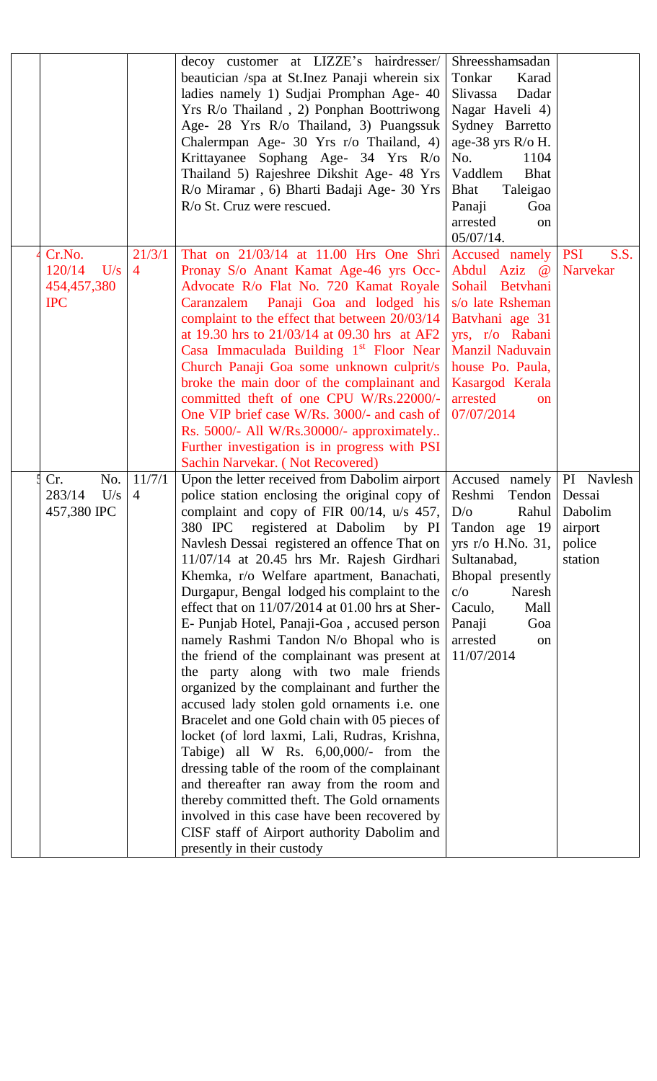|                                                      |                          | decoy customer at LIZZE's hairdresser/<br>beautician /spa at St. Inez Panaji wherein six<br>ladies namely 1) Sudjai Promphan Age- 40<br>Yrs R/o Thailand, 2) Ponphan Boottriwong<br>Age- 28 Yrs R/o Thailand, 3) Puangssuk<br>Chalermpan Age- 30 Yrs r/o Thailand, 4)<br>Krittayanee Sophang Age- 34 Yrs R/o<br>Thailand 5) Rajeshree Dikshit Age- 48 Yrs<br>R/o Miramar, 6) Bharti Badaji Age- 30 Yrs<br>R/o St. Cruz were rescued.                                                                                                                                                                                                                                                                                                                                                                                                                                                                                                                                                                                                                                                                                                    | Shreesshamsadan<br>Tonkar<br>Karad<br>Slivassa<br>Dadar<br>Nagar Haveli 4)<br>Sydney Barretto<br>age-38 yrs R/o H.<br>No.<br>1104<br>Vaddlem<br><b>Bhat</b><br>Taleigao<br>Bhat<br>Panaji<br>Goa<br>arrested<br><sub>on</sub><br>$05/07/14$ . |                                                                 |
|------------------------------------------------------|--------------------------|-----------------------------------------------------------------------------------------------------------------------------------------------------------------------------------------------------------------------------------------------------------------------------------------------------------------------------------------------------------------------------------------------------------------------------------------------------------------------------------------------------------------------------------------------------------------------------------------------------------------------------------------------------------------------------------------------------------------------------------------------------------------------------------------------------------------------------------------------------------------------------------------------------------------------------------------------------------------------------------------------------------------------------------------------------------------------------------------------------------------------------------------|-----------------------------------------------------------------------------------------------------------------------------------------------------------------------------------------------------------------------------------------------|-----------------------------------------------------------------|
| Cr.No.<br>120/14<br>U/s<br>454,457,380<br><b>IPC</b> | 21/3/1<br>$\overline{4}$ | That on 21/03/14 at 11.00 Hrs One Shri<br>Pronay S/o Anant Kamat Age-46 yrs Occ-<br>Advocate R/o Flat No. 720 Kamat Royale<br>Caranzalem Panaji Goa and lodged his<br>complaint to the effect that between 20/03/14<br>at 19.30 hrs to 21/03/14 at 09.30 hrs at AF2<br>Casa Immaculada Building 1 <sup>st</sup> Floor Near<br>Church Panaji Goa some unknown culprit/s<br>broke the main door of the complainant and<br>committed theft of one CPU W/Rs.22000/-<br>One VIP brief case W/Rs. 3000/- and cash of<br>Rs. 5000/- All W/Rs.30000/- approximately<br>Further investigation is in progress with PSI<br>Sachin Narvekar. (Not Recovered)                                                                                                                                                                                                                                                                                                                                                                                                                                                                                        | Accused namely<br>Abdul Aziz @<br>Sohail Betyhani<br>s/o late Rsheman<br>Batyhani age 31<br>yrs, r/o Rabani<br>Manzil Naduvain<br>house Po. Paula,<br>Kasargod Kerala<br>arrested<br><b>on</b><br>07/07/2014                                  | <b>PSI</b><br>S.S.<br><b>Narvekar</b>                           |
| No.<br>Cr.<br>283/14<br>U/s<br>457,380 IPC           | 11/7/1<br>$\overline{4}$ | Upon the letter received from Dabolim airport<br>police station enclosing the original copy of<br>complaint and copy of FIR 00/14, $u/s$ 457, $D/o$<br>380 IPC registered at Dabolim<br>Navlesh Dessai registered an offence That on<br>11/07/14 at 20.45 hrs Mr. Rajesh Girdhari<br>Khemka, r/o Welfare apartment, Banachati,<br>Durgapur, Bengal lodged his complaint to the<br>effect that on 11/07/2014 at 01.00 hrs at Sher-<br>E- Punjab Hotel, Panaji-Goa, accused person<br>namely Rashmi Tandon N/o Bhopal who is<br>the friend of the complainant was present at<br>the party along with two male friends<br>organized by the complainant and further the<br>accused lady stolen gold ornaments i.e. one<br>Bracelet and one Gold chain with 05 pieces of<br>locket (of lord laxmi, Lali, Rudras, Krishna,<br>Tabige) all W Rs. 6,00,000/- from the<br>dressing table of the room of the complainant<br>and thereafter ran away from the room and<br>thereby committed theft. The Gold ornaments<br>involved in this case have been recovered by<br>CISF staff of Airport authority Dabolim and<br>presently in their custody | Accused namely<br>Reshmi<br>Tendon<br>Rahul<br>by PI Tandon age $19$<br>yrs r/o H.No. $31,$<br>Sultanabad,<br>Bhopal presently<br>$c/\sigma$<br>Naresh<br>Caculo,<br>Mall<br>Panaji<br>Goa<br>arrested<br>on<br>11/07/2014                    | PI Navlesh<br>Dessai<br>Dabolim<br>airport<br>police<br>station |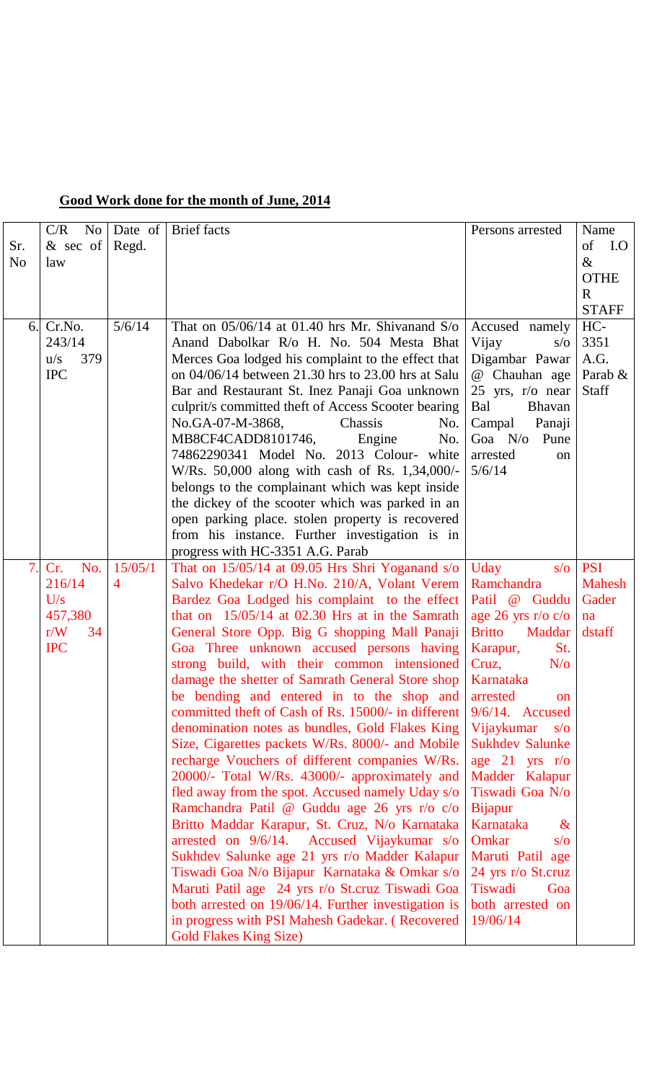|  |  |  |  |  |  | Good Work done for the month of June, 2014 |  |  |  |
|--|--|--|--|--|--|--------------------------------------------|--|--|--|
|--|--|--|--|--|--|--------------------------------------------|--|--|--|

|                | N <sub>o</sub><br>C/R | Date of | <b>Brief</b> facts                                  | Persons arrested         | Name          |
|----------------|-----------------------|---------|-----------------------------------------------------|--------------------------|---------------|
| Sr.            | & sec of              | Regd.   |                                                     |                          | of<br>I.O     |
| N <sub>o</sub> | law                   |         |                                                     |                          | $\&$          |
|                |                       |         |                                                     |                          | <b>OTHE</b>   |
|                |                       |         |                                                     |                          | $\mathbf R$   |
|                |                       |         |                                                     |                          | <b>STAFF</b>  |
| 6.             | Cr.No.                | 5/6/14  | That on $05/06/14$ at 01.40 hrs Mr. Shivanand S/o   | Accused namely           | HC-           |
|                | 243/14                |         | Anand Dabolkar R/o H. No. 504 Mesta Bhat            | Vijay<br>$s/\sigma$      | 3351          |
|                | 379<br>u/s            |         | Merces Goa lodged his complaint to the effect that  | Digambar Pawar           | A.G.          |
|                | <b>IPC</b>            |         | on 04/06/14 between 21.30 hrs to 23.00 hrs at Salu  | @ Chauhan age            | Parab &       |
|                |                       |         | Bar and Restaurant St. Inez Panaji Goa unknown      | 25 yrs, $r/o$ near       | <b>Staff</b>  |
|                |                       |         | culprit/s committed theft of Access Scooter bearing | Bal<br><b>Bhavan</b>     |               |
|                |                       |         | No.GA-07-M-3868,<br>Chassis<br>No.                  | Campal<br>Panaji         |               |
|                |                       |         | MB8CF4CADD8101746,<br>Engine<br>No.                 | Goa $N/\sigma$<br>Pune   |               |
|                |                       |         | 74862290341 Model No. 2013 Colour- white            | arrested<br>on           |               |
|                |                       |         | W/Rs. 50,000 along with cash of Rs. 1,34,000/-      | 5/6/14                   |               |
|                |                       |         | belongs to the complainant which was kept inside    |                          |               |
|                |                       |         | the dickey of the scooter which was parked in an    |                          |               |
|                |                       |         | open parking place. stolen property is recovered    |                          |               |
|                |                       |         | from his instance. Further investigation is in      |                          |               |
|                |                       |         | progress with HC-3351 A.G. Parab                    |                          |               |
| 7.             | Cr.<br>No.            | 15/05/1 | That on $15/05/14$ at 09.05 Hrs Shri Yoganand s/o   | Uday<br>$s/\sigma$       | <b>PSI</b>    |
|                | 216/14                | 4       | Salvo Khedekar r/O H.No. 210/A, Volant Verem        | Ramchandra               | <b>Mahesh</b> |
|                | U/s                   |         | Bardez Goa Lodged his complaint to the effect       | Patil @ Guddu            | Gader         |
|                | 457,380               |         | that on $15/05/14$ at 02.30 Hrs at in the Samrath   | age 26 yrs r/o $c/o$     | na            |
|                | r/W<br>34             |         | General Store Opp. Big G shopping Mall Panaji       | <b>Britto</b><br>Maddar  | dstaff        |
|                | <b>IPC</b>            |         | Goa Three unknown accused persons having            | Karapur,<br>St.          |               |
|                |                       |         | strong build, with their common intensioned         | Cruz,<br>$N/\sigma$      |               |
|                |                       |         | damage the shetter of Samrath General Store shop    | Karnataka                |               |
|                |                       |         | be bending and entered in to the shop and arrested  | <sub>on</sub>            |               |
|                |                       |         | committed theft of Cash of Rs. 15000/- in different | $9/6/14$ . Accused       |               |
|                |                       |         | denomination notes as bundles, Gold Flakes King     | Vijaykumar<br>$s/\sigma$ |               |
|                |                       |         | Size, Cigarettes packets W/Rs. 8000/- and Mobile    | <b>Sukhdev Salunke</b>   |               |
|                |                       |         | recharge Vouchers of different companies W/Rs.      | age $21$ yrs r/o         |               |
|                |                       |         | 20000/- Total W/Rs. 43000/- approximately and       | Madder Kalapur           |               |
|                |                       |         | fled away from the spot. Accused namely Uday s/o    | Tiswadi Goa N/o          |               |
|                |                       |         | Ramchandra Patil @ Guddu age 26 yrs r/o c/o         | <b>Bijapur</b>           |               |
|                |                       |         | Britto Maddar Karapur, St. Cruz, N/o Karnataka      | Karnataka<br>$\&$        |               |
|                |                       |         | arrested on 9/6/14. Accused Vijaykumar s/o          | Omkar<br>$s/\sigma$      |               |
|                |                       |         | Sukhdev Salunke age 21 yrs r/o Madder Kalapur       | Maruti Patil age         |               |
|                |                       |         | Tiswadi Goa N/o Bijapur Karnataka & Omkar s/o       | 24 yrs r/o St.cruz       |               |
|                |                       |         | Maruti Patil age 24 yrs r/o St.cruz Tiswadi Goa     | Tiswadi<br>Goa           |               |
|                |                       |         | both arrested on 19/06/14. Further investigation is | both arrested on         |               |
|                |                       |         | in progress with PSI Mahesh Gadekar. (Recovered     | 19/06/14                 |               |
|                |                       |         | <b>Gold Flakes King Size)</b>                       |                          |               |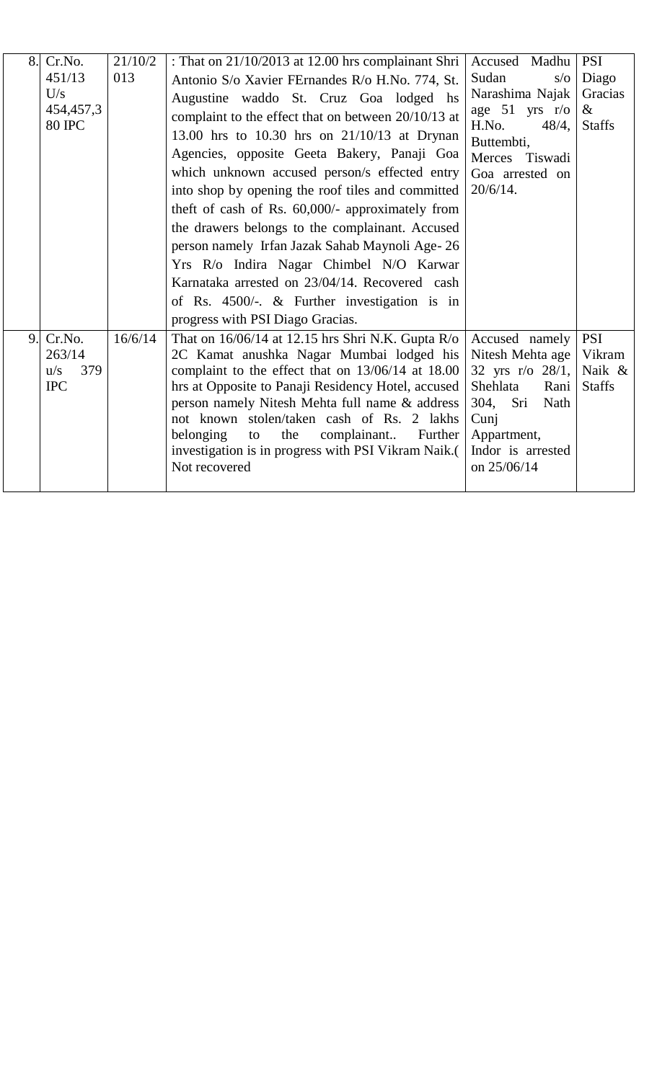| 8.             | Cr.No.        | 21/10/2 | : That on 21/10/2013 at 12.00 hrs complainant Shri                                           | Accused Madhu                | <b>PSI</b>    |
|----------------|---------------|---------|----------------------------------------------------------------------------------------------|------------------------------|---------------|
|                | 451/13        | 013     | Antonio S/o Xavier FErnandes R/o H.No. 774, St.                                              | Sudan<br>$s/\sigma$          | Diago         |
|                | U/s           |         | Augustine waddo St. Cruz Goa lodged hs                                                       | Narashima Najak              | Gracias       |
|                | 454, 457, 3   |         | complaint to the effect that on between 20/10/13 at                                          | age $51$ yrs r/o             | $\&$          |
|                | <b>80 IPC</b> |         | 13.00 hrs to 10.30 hrs on 21/10/13 at Drynan                                                 | H.No.<br>48/4,<br>Buttembti, | <b>Staffs</b> |
|                |               |         | Agencies, opposite Geeta Bakery, Panaji Goa                                                  | Merces<br>Tiswadi            |               |
|                |               |         | which unknown accused person/s effected entry                                                | Goa arrested on              |               |
|                |               |         | into shop by opening the roof tiles and committed                                            | $20/6/14$ .                  |               |
|                |               |         | theft of cash of Rs. 60,000/- approximately from                                             |                              |               |
|                |               |         | the drawers belongs to the complainant. Accused                                              |                              |               |
|                |               |         | person namely Irfan Jazak Sahab Maynoli Age-26                                               |                              |               |
|                |               |         | Yrs R/o Indira Nagar Chimbel N/O Karwar                                                      |                              |               |
|                |               |         | Karnataka arrested on 23/04/14. Recovered cash                                               |                              |               |
|                |               |         | of Rs. $4500/-$ . & Further investigation is in                                              |                              |               |
|                |               |         | progress with PSI Diago Gracias.                                                             |                              |               |
| 9 <sub>1</sub> | Cr.No.        | 16/6/14 | That on $16/06/14$ at 12.15 hrs Shri N.K. Gupta R/o                                          | Accused namely               | <b>PSI</b>    |
|                | 263/14        |         | 2C Kamat anushka Nagar Mumbai lodged his                                                     | Nitesh Mehta age             | Vikram        |
|                | 379<br>u/s    |         | complaint to the effect that on 13/06/14 at 18.00                                            | 32 yrs $r/\sigma$ 28/1,      | Naik &        |
|                | <b>IPC</b>    |         | hrs at Opposite to Panaji Residency Hotel, accused                                           | Shehlata<br>Rani             | <b>Staffs</b> |
|                |               |         | person namely Nitesh Mehta full name & address<br>not known stolen/taken cash of Rs. 2 lakhs | 304,<br>Sri<br>Nath<br>Cunj  |               |
|                |               |         | belonging<br>complainant<br>Further<br>the<br>to                                             | Appartment,                  |               |
|                |               |         | investigation is in progress with PSI Vikram Naik.(                                          | Indor is arrested            |               |
|                |               |         | Not recovered                                                                                | on 25/06/14                  |               |
|                |               |         |                                                                                              |                              |               |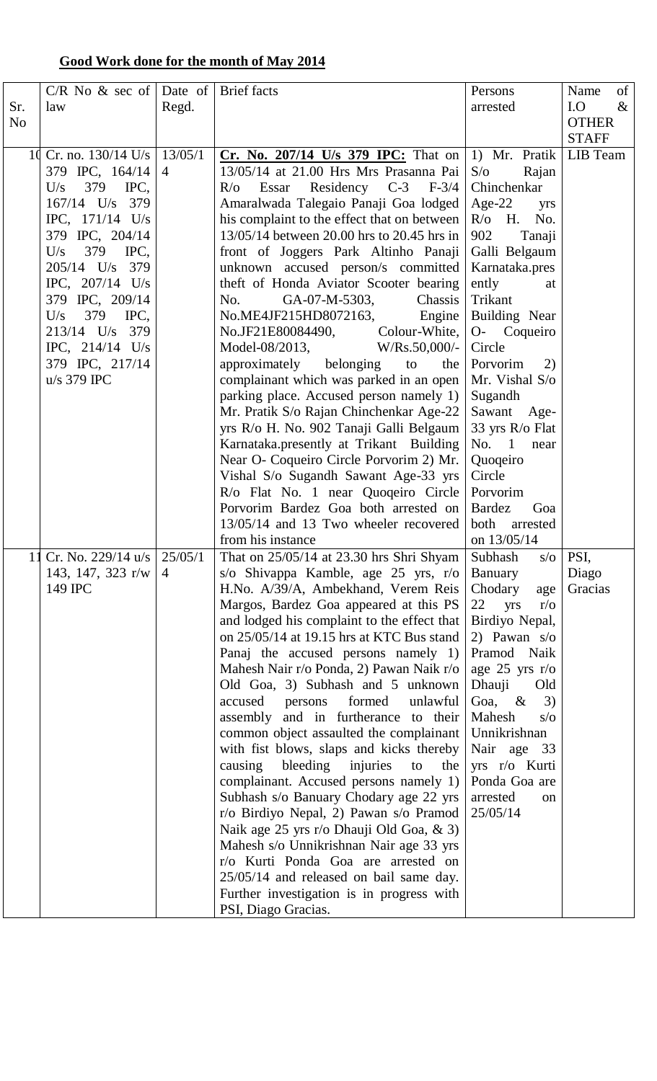## **Good Work done for the month of May 2014**

|                | $C/R$ No & sec of Date of             |                | <b>Brief</b> facts                           | Persons                  | of<br>Name   |
|----------------|---------------------------------------|----------------|----------------------------------------------|--------------------------|--------------|
| Sr.            |                                       |                |                                              | arrested                 | I.O<br>$\&$  |
|                | law                                   | Regd.          |                                              |                          |              |
| N <sub>o</sub> |                                       |                |                                              |                          | <b>OTHER</b> |
|                |                                       |                |                                              |                          | <b>STAFF</b> |
|                | 10 Cr. no. $130/14$ U/s               | 13/05/1        | <b>Cr.</b> No. 207/14 U/s 379 IPC: That on   | 1) Mr. Pratik            | LIB Team     |
|                | 379 IPC, 164/14                       | $\overline{4}$ | 13/05/14 at 21.00 Hrs Mrs Prasanna Pai       | $S/\sigma$<br>Rajan      |              |
|                | 379<br>IPC,<br>U/s                    |                | Essar Residency C-3 F-3/4<br>$R/\sigma$      | Chinchenkar              |              |
|                | 167/14 U/s 379                        |                | Amaralwada Talegaio Panaji Goa lodged        | Age-22<br>yrs            |              |
|                | IPC, $171/14$ U/s                     |                | his complaint to the effect that on between  | $R$ / $\sigma$ H.<br>No. |              |
|                | 379 IPC, 204/14                       |                | 13/05/14 between 20.00 hrs to 20.45 hrs in   | 902<br>Tanaji            |              |
|                | 379<br>IPC,<br>U/s                    |                | front of Joggers Park Altinho Panaji         | Galli Belgaum            |              |
|                | 205/14 U/s 379                        |                | unknown accused person/s committed           | Karnataka.pres           |              |
|                | IPC, $207/14$ U/s                     |                | theft of Honda Aviator Scooter bearing       | ently<br>at              |              |
|                | 379 IPC, 209/14                       |                | GA-07-M-5303,<br>No.<br>Chassis              | Trikant                  |              |
|                | 379<br>U/s                            |                |                                              |                          |              |
|                | IPC,                                  |                | $No.ME4JF215HD8072163,$ Engine               | Building Near            |              |
|                | 213/14 U/s 379                        |                | No.JF21E80084490, Colour-White,              | O- Coqueiro              |              |
|                | IPC, $214/14$ U/s                     |                | Model-08/2013,<br>$W/Rs.50,000/$ -           | Circle                   |              |
|                | 379 IPC, 217/14                       |                | approximately belonging to<br>the $\vert$    | Porvorim<br>2)           |              |
|                | $u/s$ 379 IPC                         |                | complainant which was parked in an open      | Mr. Vishal S/o           |              |
|                |                                       |                | parking place. Accused person namely 1)      | Sugandh                  |              |
|                |                                       |                | Mr. Pratik S/o Rajan Chinchenkar Age-22      | Sawant Age-              |              |
|                |                                       |                | yrs R/o H. No. 902 Tanaji Galli Belgaum      | 33 yrs R/o Flat          |              |
|                |                                       |                | Karnataka.presently at Trikant Building      | No. $1$<br>near          |              |
|                |                                       |                | Near O- Coqueiro Circle Porvorim 2) Mr.      | Quoqeiro                 |              |
|                |                                       |                | Vishal S/o Sugandh Sawant Age-33 yrs         | Circle                   |              |
|                |                                       |                | R/o Flat No. 1 near Quoqeiro Circle          | Porvorim                 |              |
|                |                                       |                | Porvorim Bardez Goa both arrested on         | <b>Bardez</b><br>Goa     |              |
|                |                                       |                | 13/05/14 and 13 Two wheeler recovered        | both<br>arrested         |              |
|                |                                       |                | from his instance                            | on 13/05/14              |              |
|                | 11 Cr. No. 229/14 u/s $\vert$ 25/05/1 |                | That on $25/05/14$ at 23.30 hrs Shri Shyam   | Subhash s/o              | PSI,         |
|                | 143, 147, 323 r/w                     | $\overline{4}$ | s/o Shivappa Kamble, age 25 yrs, r/o         | <b>Banuary</b>           | Diago        |
|                | 149 IPC                               |                | H.No. A/39/A, Ambekhand, Verem Reis          | Chodary<br>age           | Gracias      |
|                |                                       |                | Margos, Bardez Goa appeared at this PS       | 22<br>yrs<br>$r/\sigma$  |              |
|                |                                       |                | and lodged his complaint to the effect that  | Birdiyo Nepal,           |              |
|                |                                       |                | on $25/05/14$ at 19.15 hrs at KTC Bus stand  |                          |              |
|                |                                       |                |                                              | 2) Pawan $s/\sigma$      |              |
|                |                                       |                | Panaj the accused persons namely $1$ )       | Pramod Naik              |              |
|                |                                       |                | Mahesh Nair r/o Ponda, 2) Pawan Naik r/o     | age $25$ yrs r/o         |              |
|                |                                       |                | Old Goa, 3) Subhash and 5 unknown            | Dhauji<br>Old            |              |
|                |                                       |                | formed<br>accused<br>unlawful<br>persons     | 3)<br>Goa,<br>$\&$       |              |
|                |                                       |                | assembly and in furtherance to their         | Mahesh<br>$s/\sigma$     |              |
|                |                                       |                | common object assaulted the complainant      | Unnikrishnan             |              |
|                |                                       |                | with fist blows, slaps and kicks thereby     | Nair age 33              |              |
|                |                                       |                | bleeding<br>injuries<br>causing<br>the<br>to | yrs r/o Kurti            |              |
|                |                                       |                | complainant. Accused persons namely 1)       | Ponda Goa are            |              |
|                |                                       |                | Subhash s/o Banuary Chodary age 22 yrs       | arrested<br>on           |              |
|                |                                       |                | r/o Birdiyo Nepal, 2) Pawan s/o Pramod       | 25/05/14                 |              |
|                |                                       |                | Naik age 25 yrs r/o Dhauji Old Goa, & 3)     |                          |              |
|                |                                       |                | Mahesh s/o Unnikrishnan Nair age 33 yrs      |                          |              |
|                |                                       |                | r/o Kurti Ponda Goa are arrested on          |                          |              |
|                |                                       |                | 25/05/14 and released on bail same day.      |                          |              |
|                |                                       |                | Further investigation is in progress with    |                          |              |
|                |                                       |                | PSI, Diago Gracias.                          |                          |              |
|                |                                       |                |                                              |                          |              |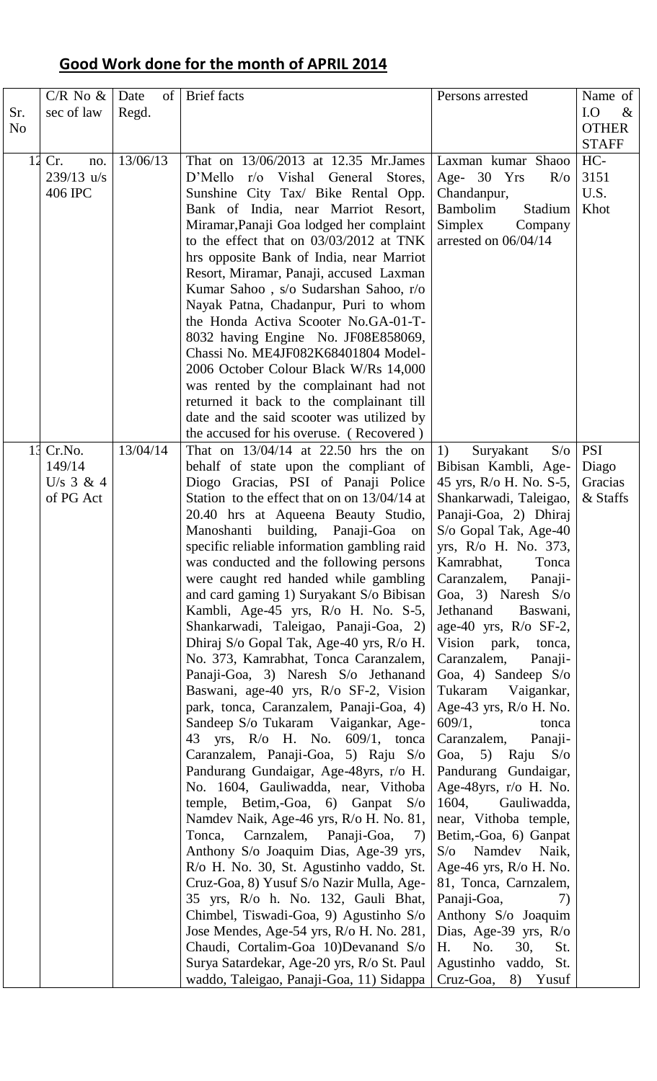# **Good Work done for the month of APRIL 2014**

| Sr.<br>N <sub>o</sub> | $C/R$ No $\&$<br>sec of law                  | Date<br>of<br>Regd. | <b>Brief</b> facts                                                                                                                                                                                                                                                                                                                                                                                                                                                                                                                                                                                                                                                                                                                                                                                                                                                                                                                                                                                                                                                                                                                                                                                                                                                                                                                                                                                                                                            | Persons arrested                                                                                                                                                                                                                                                                                                                                                                                                                                                                                                                                                                                                                                                                                                                                                                                                                                                                   | Name of<br>I.O<br>$\&$<br><b>OTHER</b><br><b>STAFF</b> |
|-----------------------|----------------------------------------------|---------------------|---------------------------------------------------------------------------------------------------------------------------------------------------------------------------------------------------------------------------------------------------------------------------------------------------------------------------------------------------------------------------------------------------------------------------------------------------------------------------------------------------------------------------------------------------------------------------------------------------------------------------------------------------------------------------------------------------------------------------------------------------------------------------------------------------------------------------------------------------------------------------------------------------------------------------------------------------------------------------------------------------------------------------------------------------------------------------------------------------------------------------------------------------------------------------------------------------------------------------------------------------------------------------------------------------------------------------------------------------------------------------------------------------------------------------------------------------------------|------------------------------------------------------------------------------------------------------------------------------------------------------------------------------------------------------------------------------------------------------------------------------------------------------------------------------------------------------------------------------------------------------------------------------------------------------------------------------------------------------------------------------------------------------------------------------------------------------------------------------------------------------------------------------------------------------------------------------------------------------------------------------------------------------------------------------------------------------------------------------------|--------------------------------------------------------|
| 12                    | Cr.<br>no.<br>$239/13$ u/s<br>406 IPC        | 13/06/13            | That on 13/06/2013 at 12.35 Mr. James<br>D'Mello r/o Vishal General Stores,<br>Sunshine City Tax/ Bike Rental Opp.<br>Bank of India, near Marriot Resort,<br>Miramar, Panaji Goa lodged her complaint<br>to the effect that on 03/03/2012 at TNK<br>hrs opposite Bank of India, near Marriot<br>Resort, Miramar, Panaji, accused Laxman<br>Kumar Sahoo, s/o Sudarshan Sahoo, r/o<br>Nayak Patna, Chadanpur, Puri to whom<br>the Honda Activa Scooter No.GA-01-T-<br>8032 having Engine No. JF08E858069,<br>Chassi No. ME4JF082K68401804 Model-<br>2006 October Colour Black W/Rs 14,000<br>was rented by the complainant had not<br>returned it back to the complainant till<br>date and the said scooter was utilized by<br>the accused for his overuse. (Recovered)                                                                                                                                                                                                                                                                                                                                                                                                                                                                                                                                                                                                                                                                                         | Laxman kumar Shaoo<br>Age- 30 Yrs<br>$R/\sigma$<br>Chandanpur,<br>Bambolim<br>Stadium<br>Simplex<br>Company<br>arrested on 06/04/14                                                                                                                                                                                                                                                                                                                                                                                                                                                                                                                                                                                                                                                                                                                                                | HC-<br>3151<br>U.S.<br>Khot                            |
| 13                    | Cr.No.<br>149/14<br>U/s $3 & 4$<br>of PG Act | 13/04/14            | That on $13/04/14$ at 22.50 hrs the on<br>behalf of state upon the compliant of<br>Diogo Gracias, PSI of Panaji Police<br>Station to the effect that on on 13/04/14 at<br>20.40 hrs at Aqueena Beauty Studio,<br>Manoshanti building, Panaji-Goa on<br>specific reliable information gambling raid<br>was conducted and the following persons<br>were caught red handed while gambling<br>and card gaming 1) Suryakant S/o Bibisan<br>Kambli, Age-45 yrs, R/o H. No. S-5,<br>Shankarwadi, Taleigao, Panaji-Goa, 2)<br>Dhiraj S/o Gopal Tak, Age-40 yrs, R/o H.<br>No. 373, Kamrabhat, Tonca Caranzalem,<br>Panaji-Goa, 3) Naresh S/o Jethanand<br>Baswani, age-40 yrs, R/o SF-2, Vision<br>park, tonca, Caranzalem, Panaji-Goa, 4)<br>Sandeep S/o Tukaram Vaigankar, Age-<br>43 yrs, R/o H. No. 609/1, tonca<br>Caranzalem, Panaji-Goa, 5) Raju S/o<br>Pandurang Gundaigar, Age-48yrs, r/o H.<br>No. 1604, Gauliwadda, near, Vithoba<br>temple, Betim,-Goa, 6) Ganpat S/o<br>Namdev Naik, Age-46 yrs, R/o H. No. 81,<br>Tonca,<br>Carnzalem, Panaji-Goa,<br>7)<br>Anthony S/o Joaquim Dias, Age-39 yrs,<br>R/o H. No. 30, St. Agustinho vaddo, St.<br>Cruz-Goa, 8) Yusuf S/o Nazir Mulla, Age-<br>35 yrs, R/o h. No. 132, Gauli Bhat,<br>Chimbel, Tiswadi-Goa, 9) Agustinho S/o<br>Jose Mendes, Age-54 yrs, R/o H. No. 281,<br>Chaudi, Cortalim-Goa 10)Devanand S/o<br>Surya Satardekar, Age-20 yrs, R/o St. Paul<br>waddo, Taleigao, Panaji-Goa, 11) Sidappa | S/O<br>1)<br>Suryakant<br>Bibisan Kambli, Age-<br>45 yrs, R/o H. No. S-5,<br>Shankarwadi, Taleigao,<br>Panaji-Goa, 2) Dhiraj<br>S/o Gopal Tak, Age-40<br>yrs, R/o H. No. 373,<br>Kamrabhat,<br>Tonca<br>Caranzalem,<br>Panaji-<br>Goa, 3) Naresh $S/\sigma$<br>Jethanand Baswani,<br>age-40 yrs, $R$ /o SF-2,<br>Vision park,<br>tonca,<br>Caranzalem,<br>Panaji-<br>Goa, 4) Sandeep S/o<br>Tukaram<br>Vaigankar,<br>Age-43 yrs, R/o H. No.<br>609/1,<br>tonca<br>Caranzalem,<br>Panaji-<br>Goa, 5) Raju<br>$S/\sigma$<br>Pandurang Gundaigar,<br>Age-48yrs, r/o H. No.<br>1604,<br>Gauliwadda,<br>near, Vithoba temple,<br>Betim,-Goa, 6) Ganpat<br>Namdev<br>S/O<br>Naik,<br>Age-46 yrs, $R$ /o H. No.<br>81, Tonca, Carnzalem,<br>Panaji-Goa,<br>7)<br>Anthony S/o Joaquim<br>Dias, Age-39 yrs, R/o<br>Η.<br>No.<br>30,<br>St.<br>Agustinho vaddo, St.<br>Cruz-Goa,<br>8) Yusuf | <b>PSI</b><br>Diago<br>Gracias<br>& Staffs             |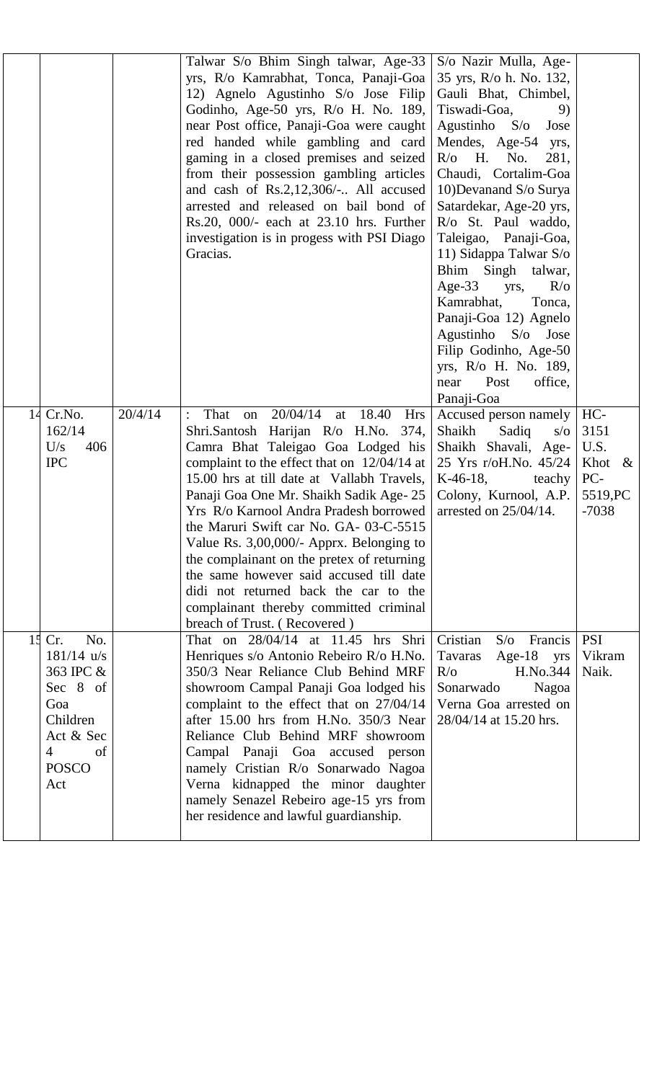|    |                                                                                                                                    |         | Talwar S/o Bhim Singh talwar, Age-33<br>yrs, R/o Kamrabhat, Tonca, Panaji-Goa<br>12) Agnelo Agustinho S/o Jose Filip<br>Godinho, Age-50 yrs, R/o H. No. 189,<br>near Post office, Panaji-Goa were caught<br>red handed while gambling and card<br>gaming in a closed premises and seized<br>from their possession gambling articles<br>and cash of Rs.2,12,306/- All accused<br>arrested and released on bail bond of<br>Rs.20, 000/- each at 23.10 hrs. Further<br>investigation is in progess with PSI Diago<br>Gracias.                                                                                                              | S/o Nazir Mulla, Age-<br>35 yrs, R/o h. No. 132,<br>Gauli Bhat, Chimbel,<br>Tiswadi-Goa,<br>9)<br>Agustinho $S/\sigma$<br>Jose<br>Mendes, Age-54<br>yrs,<br>$R/O$ H. No.<br>281,<br>Chaudi, Cortalim-Goa<br>10)Devanand S/o Surya<br>Satardekar, Age-20 yrs,<br>$R$ /o St. Paul waddo,<br>Taleigao, Panaji-Goa,<br>11) Sidappa Talwar S/o<br>Bhim Singh talwar,<br>Age-33<br>yrs,<br>$R/\sigma$<br>Kamrabhat,<br>Tonca,<br>Panaji-Goa 12) Agnelo<br>Agustinho S/o<br>Jose<br>Filip Godinho, Age-50<br>yrs, R/o H. No. 189,<br>Post<br>office,<br>near<br>Panaji-Goa |                                                                |
|----|------------------------------------------------------------------------------------------------------------------------------------|---------|-----------------------------------------------------------------------------------------------------------------------------------------------------------------------------------------------------------------------------------------------------------------------------------------------------------------------------------------------------------------------------------------------------------------------------------------------------------------------------------------------------------------------------------------------------------------------------------------------------------------------------------------|---------------------------------------------------------------------------------------------------------------------------------------------------------------------------------------------------------------------------------------------------------------------------------------------------------------------------------------------------------------------------------------------------------------------------------------------------------------------------------------------------------------------------------------------------------------------|----------------------------------------------------------------|
|    | 14 Cr.No.<br>162/14<br>406<br>U/s<br><b>IPC</b>                                                                                    | 20/4/14 | 20/04/14<br>That<br>18.40<br>on<br>at<br><b>Hrs</b><br>$\ddot{\cdot}$<br>Shri.Santosh Harijan R/o H.No. 374,<br>Camra Bhat Taleigao Goa Lodged his<br>complaint to the effect that on $12/04/14$ at<br>15.00 hrs at till date at Vallabh Travels,<br>Panaji Goa One Mr. Shaikh Sadik Age-25<br>Yrs R/o Karnool Andra Pradesh borrowed<br>the Maruri Swift car No. GA- 03-C-5515<br>Value Rs. 3,00,000/- Apprx. Belonging to<br>the complainant on the pretex of returning<br>the same however said accused till date<br>didi not returned back the car to the<br>complainant thereby committed criminal<br>breach of Trust. (Recovered) | Accused person namely<br>Shaikh<br>Sadiq<br>$s/\sigma$<br>Shaikh Shavali, Age-<br>25 Yrs r/oH.No. 45/24<br>$K-46-18$ ,<br>teachy<br>Colony, Kurnool, A.P.<br>arrested on $25/04/14$ .                                                                                                                                                                                                                                                                                                                                                                               | HC-<br>3151<br>U.S.<br>Khot $\&$<br>PC-<br>5519, PC<br>$-7038$ |
| 15 | No.<br>Cr.<br>$181/14$ u/s<br>363 IPC &<br>Sec 8 of<br>Goa<br>Children<br>Act & Sec<br>$\overline{4}$<br>of<br><b>POSCO</b><br>Act |         | That on 28/04/14 at 11.45 hrs Shri<br>Henriques s/o Antonio Rebeiro R/o H.No.<br>350/3 Near Reliance Club Behind MRF<br>showroom Campal Panaji Goa lodged his<br>complaint to the effect that on 27/04/14<br>after 15.00 hrs from H.No. 350/3 Near<br>Reliance Club Behind MRF showroom<br>Campal Panaji Goa accused person<br>namely Cristian R/o Sonarwado Nagoa<br>Verna kidnapped the minor daughter<br>namely Senazel Rebeiro age-15 yrs from<br>her residence and lawful guardianship.                                                                                                                                            | Cristian<br>S/O<br>Francis<br>Age-18 $yrs$<br>Tavaras<br>$R/\sigma$<br>H.No.344<br>Sonarwado<br>Nagoa<br>Verna Goa arrested on<br>28/04/14 at 15.20 hrs.                                                                                                                                                                                                                                                                                                                                                                                                            | <b>PSI</b><br>Vikram<br>Naik.                                  |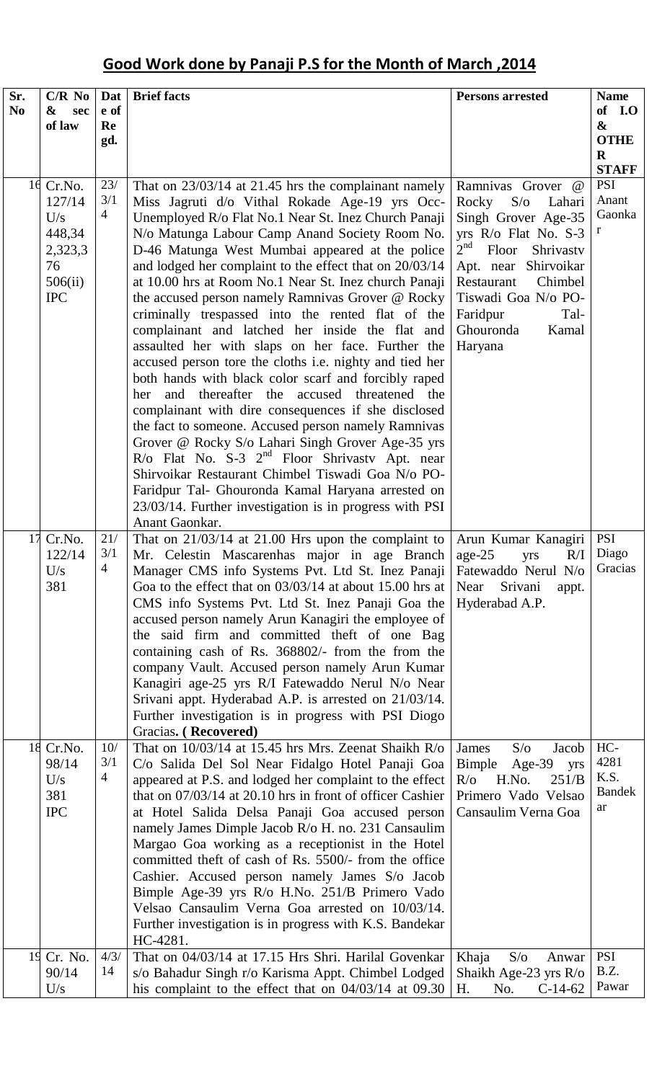# **Good Work done by Panaji P.S for the Month of March ,2014**

| Sr.<br>N <sub>0</sub> | $C/R$ No<br>&<br>sec<br>of law                                                 | Dat<br>e of<br>Re<br>gd.     | <b>Brief facts</b>                                                                                                                                                                                                                                                                                                                                                                                                                                                                                                                                                                                                                                                                                                                                                                                                                                                                                                                                                                                                                                                                                                                                                                                     | <b>Persons arrested</b>                                                                                                                                                                                                                                                           | <b>Name</b><br>of I.O<br>$\boldsymbol{\&}$<br><b>OTHE</b><br>$\bf{R}$<br><b>STAFF</b> |
|-----------------------|--------------------------------------------------------------------------------|------------------------------|--------------------------------------------------------------------------------------------------------------------------------------------------------------------------------------------------------------------------------------------------------------------------------------------------------------------------------------------------------------------------------------------------------------------------------------------------------------------------------------------------------------------------------------------------------------------------------------------------------------------------------------------------------------------------------------------------------------------------------------------------------------------------------------------------------------------------------------------------------------------------------------------------------------------------------------------------------------------------------------------------------------------------------------------------------------------------------------------------------------------------------------------------------------------------------------------------------|-----------------------------------------------------------------------------------------------------------------------------------------------------------------------------------------------------------------------------------------------------------------------------------|---------------------------------------------------------------------------------------|
|                       | 16 Cr.No.<br>127/14<br>U/s<br>448,34<br>2,323,3<br>76<br>506(ii)<br><b>IPC</b> | 23/<br>3/1<br>$\overline{4}$ | That on $23/03/14$ at 21.45 hrs the complainant namely<br>Miss Jagruti d/o Vithal Rokade Age-19 yrs Occ-<br>Unemployed R/o Flat No.1 Near St. Inez Church Panaji<br>N/o Matunga Labour Camp Anand Society Room No.<br>D-46 Matunga West Mumbai appeared at the police<br>and lodged her complaint to the effect that on 20/03/14<br>at 10.00 hrs at Room No.1 Near St. Inez church Panaji<br>the accused person namely Ramnivas Grover @ Rocky<br>criminally trespassed into the rented flat of the<br>complainant and latched her inside the flat and<br>assaulted her with slaps on her face. Further the<br>accused person tore the cloths i.e. nighty and tied her<br>both hands with black color scarf and forcibly raped<br>thereafter the accused threatened the<br>and<br>her<br>complainant with dire consequences if she disclosed<br>the fact to someone. Accused person namely Ramnivas<br>Grover @ Rocky S/o Lahari Singh Grover Age-35 yrs<br>$R$ /o Flat No. S-3 $2nd$ Floor Shrivastv Apt. near<br>Shirvoikar Restaurant Chimbel Tiswadi Goa N/o PO-<br>Faridpur Tal- Ghouronda Kamal Haryana arrested on<br>23/03/14. Further investigation is in progress with PSI<br>Anant Gaonkar. | Ramnivas Grover<br>$\omega$<br>Rocky<br>$S/\sigma$<br>Lahari<br>Singh Grover Age-35<br>yrs R/o Flat No. S-3<br>2 <sup>nd</sup><br>Floor<br>Shrivastv<br>Apt. near Shirvoikar<br>Chimbel<br>Restaurant<br>Tiswadi Goa N/o PO-<br>Faridpur<br>Tal-<br>Ghouronda<br>Kamal<br>Haryana | <b>PSI</b><br>Anant<br>Gaonka<br>r                                                    |
| 17                    | Cr.No.<br>122/14<br>U/s<br>381                                                 | 21/<br>3/1<br>4              | That on $21/03/14$ at 21.00 Hrs upon the complaint to<br>Mr. Celestin Mascarenhas major in age Branch<br>Manager CMS info Systems Pvt. Ltd St. Inez Panaji<br>Goa to the effect that on $03/03/14$ at about 15.00 hrs at<br>CMS info Systems Pvt. Ltd St. Inez Panaji Goa the<br>accused person namely Arun Kanagiri the employee of<br>the said firm and committed theft of one Bag<br>containing cash of Rs. 368802/- from the from the<br>company Vault. Accused person namely Arun Kumar<br>Kanagiri age-25 yrs R/I Fatewaddo Nerul N/o Near<br>Srivani appt. Hyderabad A.P. is arrested on 21/03/14.<br>Further investigation is in progress with PSI Diogo<br>Gracias. (Recovered)                                                                                                                                                                                                                                                                                                                                                                                                                                                                                                               | Arun Kumar Kanagiri<br>$age-25$<br>R/I<br>yrs<br>Fatewaddo Nerul N/o<br>Srivani<br>Near<br>appt.<br>Hyderabad A.P.                                                                                                                                                                | <b>PSI</b><br>Diago<br>Gracias                                                        |
|                       | 18 Cr.No.<br>98/14<br>U/s<br>381<br><b>IPC</b>                                 | 10/<br>3/1<br>4              | That on $10/03/14$ at 15.45 hrs Mrs. Zeenat Shaikh R/o<br>C/o Salida Del Sol Near Fidalgo Hotel Panaji Goa<br>appeared at P.S. and lodged her complaint to the effect<br>that on 07/03/14 at 20.10 hrs in front of officer Cashier<br>at Hotel Salida Delsa Panaji Goa accused person<br>namely James Dimple Jacob R/o H. no. 231 Cansaulim<br>Margao Goa working as a receptionist in the Hotel<br>committed theft of cash of Rs. 5500/- from the office<br>Cashier. Accused person namely James S/o Jacob<br>Bimple Age-39 yrs R/o H.No. 251/B Primero Vado<br>Velsao Cansaulim Verna Goa arrested on 10/03/14.<br>Further investigation is in progress with K.S. Bandekar<br>HC-4281.                                                                                                                                                                                                                                                                                                                                                                                                                                                                                                               | $S/\sigma$<br>James<br>Jacob<br>Bimple<br>Age-39 yrs<br>$R/\sigma$<br>H.No.<br>251/B<br>Primero Vado Velsao<br>Cansaulim Verna Goa                                                                                                                                                | HC-<br>4281<br>K.S.<br><b>Bandek</b><br>ar                                            |
|                       | 19 Cr. No.<br>90/14<br>U/s                                                     | 4/3/<br>14                   | That on 04/03/14 at 17.15 Hrs Shri. Harilal Govenkar<br>s/o Bahadur Singh r/o Karisma Appt. Chimbel Lodged<br>his complaint to the effect that on $04/03/14$ at $09.30$                                                                                                                                                                                                                                                                                                                                                                                                                                                                                                                                                                                                                                                                                                                                                                                                                                                                                                                                                                                                                                | S/O<br>Khaja<br>Anwar<br>Shaikh Age-23 yrs R/o<br>H.<br>$C-14-62$<br>No.                                                                                                                                                                                                          | <b>PSI</b><br>B.Z.<br>Pawar                                                           |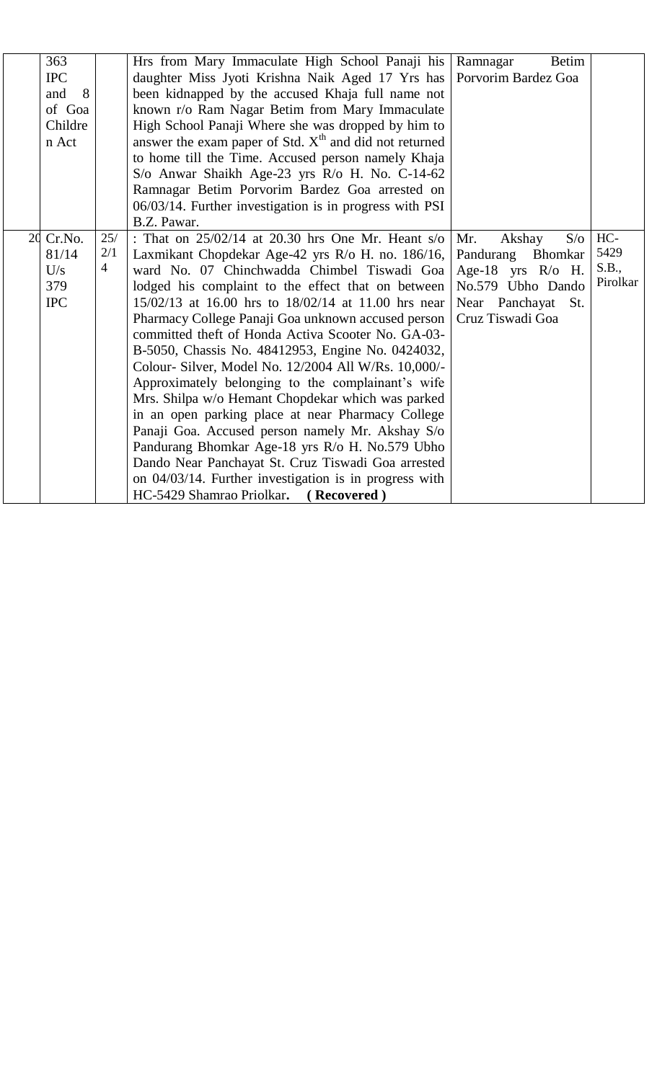| 363        |                | Hrs from Mary Immaculate High School Panaji his          | <b>Betim</b><br>Ramnagar    |          |
|------------|----------------|----------------------------------------------------------|-----------------------------|----------|
| <b>IPC</b> |                | daughter Miss Jyoti Krishna Naik Aged 17 Yrs has         | Porvorim Bardez Goa         |          |
| 8<br>and   |                | been kidnapped by the accused Khaja full name not        |                             |          |
| of Goa     |                | known r/o Ram Nagar Betim from Mary Immaculate           |                             |          |
| Childre    |                | High School Panaji Where she was dropped by him to       |                             |          |
| n Act      |                | answer the exam paper of Std. $Xth$ and did not returned |                             |          |
|            |                | to home till the Time. Accused person namely Khaja       |                             |          |
|            |                | S/o Anwar Shaikh Age-23 yrs R/o H. No. C-14-62           |                             |          |
|            |                | Ramnagar Betim Porvorim Bardez Goa arrested on           |                             |          |
|            |                | 06/03/14. Further investigation is in progress with PSI  |                             |          |
|            |                | B.Z. Pawar.                                              |                             |          |
| 20 Cr.No.  | 25/            | : That on $25/02/14$ at 20.30 hrs One Mr. Heant s/o      | Mr.<br>$S/\sigma$<br>Akshay | HC-      |
| 81/14      | 2/1            | Laxmikant Chopdekar Age-42 yrs R/o H. no. 186/16,        | Pandurang<br><b>Bhomkar</b> | 5429     |
| U/s        | $\overline{4}$ | ward No. 07 Chinchwadda Chimbel Tiswadi Goa              | Age-18 yrs R/o H.           | S.B.,    |
| 379        |                | lodged his complaint to the effect that on between       | No.579 Ubho Dando           | Pirolkar |
| <b>IPC</b> |                | 15/02/13 at 16.00 hrs to 18/02/14 at 11.00 hrs near      | Near Panchayat St.          |          |
|            |                | Pharmacy College Panaji Goa unknown accused person       | Cruz Tiswadi Goa            |          |
|            |                | committed theft of Honda Activa Scooter No. GA-03-       |                             |          |
|            |                | B-5050, Chassis No. 48412953, Engine No. 0424032,        |                             |          |
|            |                | Colour- Silver, Model No. 12/2004 All W/Rs. 10,000/-     |                             |          |
|            |                | Approximately belonging to the complainant's wife        |                             |          |
|            |                | Mrs. Shilpa w/o Hemant Chopdekar which was parked        |                             |          |
|            |                | in an open parking place at near Pharmacy College        |                             |          |
|            |                | Panaji Goa. Accused person namely Mr. Akshay S/o         |                             |          |
|            |                | Pandurang Bhomkar Age-18 yrs R/o H. No.579 Ubho          |                             |          |
|            |                | Dando Near Panchayat St. Cruz Tiswadi Goa arrested       |                             |          |
|            |                | on 04/03/14. Further investigation is in progress with   |                             |          |
|            |                | HC-5429 Shamrao Priolkar.<br>(Recovered)                 |                             |          |
|            |                |                                                          |                             |          |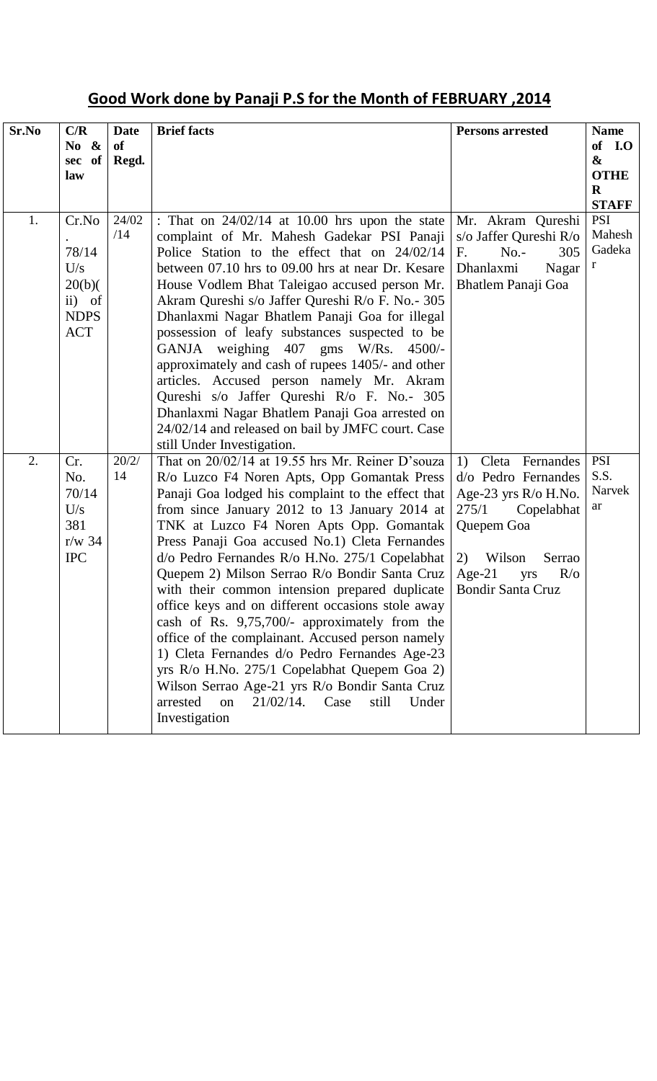# **Good Work done by Panaji P.S for the Month of FEBRUARY ,2014**

| Sr.No | C/R<br>No &<br>sec of<br>law                                          | <b>Date</b><br><b>of</b><br>Regd. | <b>Brief facts</b>                                                                                                                                                                                                                                                                                                                                                                                                                                                                                                                                                                                                                                                                                                                                                                                                                                  | <b>Persons arrested</b>                                                                                                                                                                        | <b>Name</b><br>of I.O<br>$\boldsymbol{\&}$<br><b>OTHE</b><br>$\bf{R}$<br><b>STAFF</b> |
|-------|-----------------------------------------------------------------------|-----------------------------------|-----------------------------------------------------------------------------------------------------------------------------------------------------------------------------------------------------------------------------------------------------------------------------------------------------------------------------------------------------------------------------------------------------------------------------------------------------------------------------------------------------------------------------------------------------------------------------------------------------------------------------------------------------------------------------------------------------------------------------------------------------------------------------------------------------------------------------------------------------|------------------------------------------------------------------------------------------------------------------------------------------------------------------------------------------------|---------------------------------------------------------------------------------------|
| 1.    | Cr.No<br>78/14<br>U/s<br>20(b)<br>ii) of<br><b>NDPS</b><br><b>ACT</b> | 24/02<br>/14                      | : That on $24/02/14$ at 10.00 hrs upon the state<br>complaint of Mr. Mahesh Gadekar PSI Panaji<br>Police Station to the effect that on 24/02/14<br>between 07.10 hrs to 09.00 hrs at near Dr. Kesare<br>House Vodlem Bhat Taleigao accused person Mr.<br>Akram Qureshi s/o Jaffer Qureshi R/o F. No. - 305<br>Dhanlaxmi Nagar Bhatlem Panaji Goa for illegal<br>possession of leafy substances suspected to be<br>GANJA weighing 407 gms W/Rs. 4500/-<br>approximately and cash of rupees 1405/- and other<br>articles. Accused person namely Mr. Akram<br>Qureshi s/o Jaffer Qureshi R/o F. No.- 305<br>Dhanlaxmi Nagar Bhatlem Panaji Goa arrested on<br>24/02/14 and released on bail by JMFC court. Case<br>still Under Investigation.                                                                                                          | Mr. Akram Qureshi<br>s/o Jaffer Qureshi R/o<br>$No. -$<br>305<br>F.<br>Dhanlaxmi<br>Nagar<br>Bhatlem Panaji Goa                                                                                | <b>PSI</b><br>Mahesh<br>Gadeka<br>r                                                   |
| 2.    | Cr.<br>No.<br>70/14<br>U/s<br>381<br>$r/w$ 34<br><b>IPC</b>           | 20/2/<br>14                       | That on 20/02/14 at 19.55 hrs Mr. Reiner D'souza<br>R/o Luzco F4 Noren Apts, Opp Gomantak Press<br>Panaji Goa lodged his complaint to the effect that<br>from since January 2012 to 13 January 2014 at<br>TNK at Luzco F4 Noren Apts Opp. Gomantak<br>Press Panaji Goa accused No.1) Cleta Fernandes<br>d/o Pedro Fernandes R/o H.No. 275/1 Copelabhat<br>Quepem 2) Milson Serrao R/o Bondir Santa Cruz<br>with their common intension prepared duplicate<br>office keys and on different occasions stole away<br>cash of Rs. 9,75,700/- approximately from the<br>office of the complainant. Accused person namely<br>1) Cleta Fernandes d/o Pedro Fernandes Age-23<br>yrs R/o H.No. 275/1 Copelabhat Quepem Goa 2)<br>Wilson Serrao Age-21 yrs R/o Bondir Santa Cruz<br>$21/02/14$ .<br>arrested<br>Case<br>still<br>on<br>Under<br>Investigation | 1) Cleta Fernandes<br>d/o Pedro Fernandes<br>Age-23 yrs $R$ /o H.No.<br>275/1<br>Copelabhat<br>Quepem Goa<br>Wilson<br>2)<br>Serrao<br>Age-21<br>$R/\sigma$<br>yrs<br><b>Bondir Santa Cruz</b> | <b>PSI</b><br>S.S.<br>Narvek<br>ar                                                    |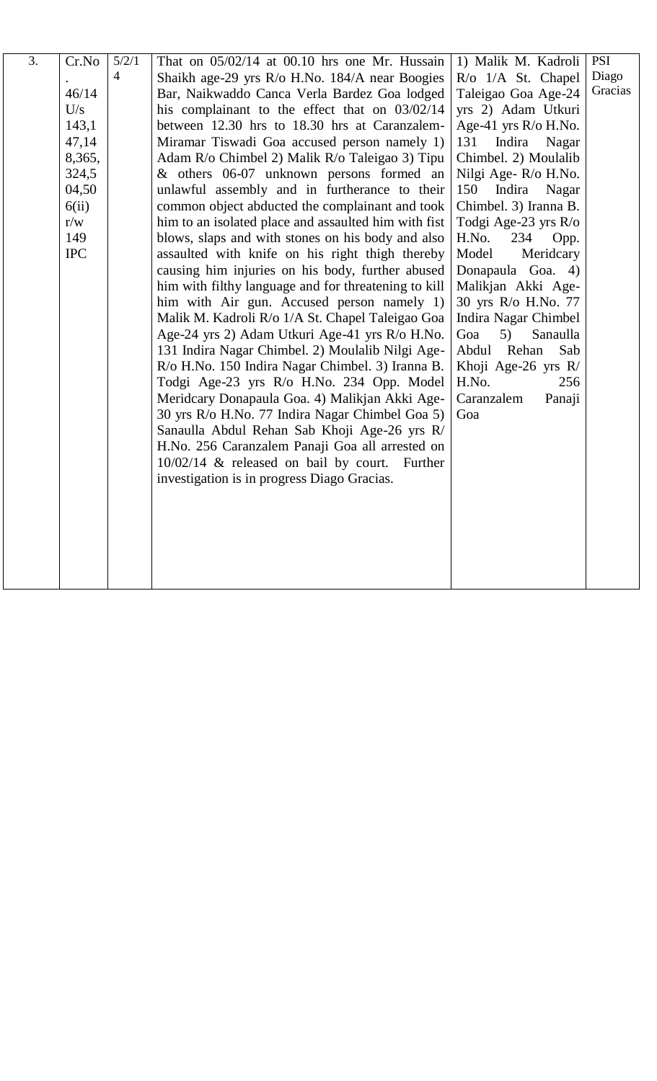| $\overline{3}$ . | Cr.No      | 5/2/1          | That on $05/02/14$ at 00.10 hrs one Mr. Hussain      | 1) Malik M. Kadroli     | <b>PSI</b> |
|------------------|------------|----------------|------------------------------------------------------|-------------------------|------------|
|                  |            | $\overline{4}$ | Shaikh age-29 yrs R/o H.No. 184/A near Boogies       | R/o 1/A St. Chapel      | Diago      |
|                  | 46/14      |                | Bar, Naikwaddo Canca Verla Bardez Goa lodged         | Taleigao Goa Age-24     | Gracias    |
|                  | U/s        |                | his complainant to the effect that on 03/02/14       | yrs 2) Adam Utkuri      |            |
|                  | 143,1      |                | between 12.30 hrs to 18.30 hrs at Caranzalem-        | Age-41 yrs $R$ /o H.No. |            |
|                  | 47,14      |                | Miramar Tiswadi Goa accused person namely 1)         | Indira<br>131<br>Nagar  |            |
|                  | 8,365,     |                | Adam R/o Chimbel 2) Malik R/o Taleigao 3) Tipu       | Chimbel. 2) Moulalib    |            |
|                  | 324,5      |                | & others 06-07 unknown persons formed an             | Nilgi Age-R/o H.No.     |            |
|                  | 04,50      |                | unlawful assembly and in furtherance to their        | 150<br>Indira<br>Nagar  |            |
|                  | 6(ii)      |                | common object abducted the complainant and took      | Chimbel. 3) Iranna B.   |            |
|                  | r/w        |                | him to an isolated place and assaulted him with fist | Todgi Age-23 yrs R/o    |            |
|                  | 149        |                | blows, slaps and with stones on his body and also    | H.No.<br>234<br>Opp.    |            |
|                  | <b>IPC</b> |                | assaulted with knife on his right thigh thereby      | Model<br>Meridcary      |            |
|                  |            |                | causing him injuries on his body, further abused     | Donapaula Goa. 4)       |            |
|                  |            |                | him with filthy language and for threatening to kill | Malikjan Akki Age-      |            |
|                  |            |                | him with Air gun. Accused person namely 1)           | 30 yrs R/o H.No. 77     |            |
|                  |            |                | Malik M. Kadroli R/o 1/A St. Chapel Taleigao Goa     | Indira Nagar Chimbel    |            |
|                  |            |                | Age-24 yrs 2) Adam Utkuri Age-41 yrs R/o H.No.       | Goa<br>5)<br>Sanaulla   |            |
|                  |            |                | 131 Indira Nagar Chimbel. 2) Moulalib Nilgi Age-     | Abdul Rehan<br>Sab      |            |
|                  |            |                | R/o H.No. 150 Indira Nagar Chimbel. 3) Iranna B.     | Khoji Age-26 yrs R/     |            |
|                  |            |                | Todgi Age-23 yrs R/o H.No. 234 Opp. Model            | H.No.<br>256            |            |
|                  |            |                | Meridcary Donapaula Goa. 4) Malikjan Akki Age-       | Caranzalem<br>Panaji    |            |
|                  |            |                | 30 yrs R/o H.No. 77 Indira Nagar Chimbel Goa 5)      | Goa                     |            |
|                  |            |                | Sanaulla Abdul Rehan Sab Khoji Age-26 yrs R/         |                         |            |
|                  |            |                | H.No. 256 Caranzalem Panaji Goa all arrested on      |                         |            |
|                  |            |                | 10/02/14 & released on bail by court. Further        |                         |            |
|                  |            |                | investigation is in progress Diago Gracias.          |                         |            |
|                  |            |                |                                                      |                         |            |
|                  |            |                |                                                      |                         |            |
|                  |            |                |                                                      |                         |            |
|                  |            |                |                                                      |                         |            |
|                  |            |                |                                                      |                         |            |
|                  |            |                |                                                      |                         |            |
|                  |            |                |                                                      |                         |            |